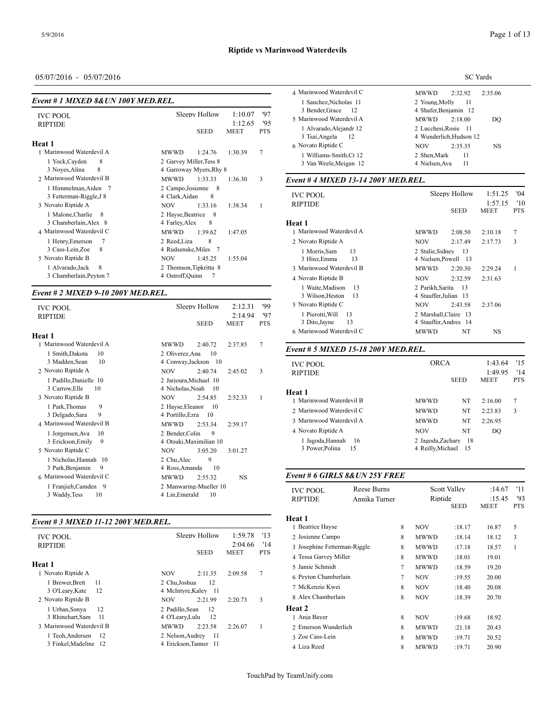# **Riptide vs Marinwood Waterdevils**

# 05/07/2016 - 05/07/2016

#### *Event # 1 MIXED 8&UN 100Y MED.REL.*

| <b>IVC POOL</b><br><b>RIPTIDE</b>               | 1:10.07<br>Sleepy Hollow<br>1:12.65                          | '97<br>'95     | 3 Bender, Grace<br>12<br>5 Marinwood Waterdevil A<br>1 Alvarado, Alejandr 12 | 4 Shafer, Benjamin<br><b>MWWD</b><br>2:18<br>2 Lucchesi, Rosie |
|-------------------------------------------------|--------------------------------------------------------------|----------------|------------------------------------------------------------------------------|----------------------------------------------------------------|
| Heat 1                                          | <b>MEET</b><br><b>SEED</b>                                   | <b>PTS</b>     | 3 Tsai, Angela<br>12                                                         | 4 Wunderlich, Hud                                              |
| 1 Marinwood Waterdevil A                        | 1:30.39<br><b>MWWD</b><br>1:24.76                            | $\overline{7}$ | 6 Novato Riptide C<br>1 Williams-Smith.Cr 12                                 | <b>NOV</b><br>2:35<br>2 Shen.Mark                              |
| 1 Yock, Cayden<br>8<br>8<br>3 Noves, Alina      | 2 Garvey Miller, Tess 8<br>4 Garroway Myers, Rhy 8           |                | 3 Van Weele, Meigan 12                                                       | 4 Nielsen, Ava                                                 |
| 2 Marinwood Waterdevil B                        | <b>MWWD</b><br>1:33.33<br>1:36.30                            | 3              | Event # 4 MIXED 13-14 200Y MED.REL.                                          |                                                                |
| 1 Himmelman, Aiden 7<br>3 Fetterman-Riggle, J 8 | 2 Campo, Josienne 8<br>4 Clark, Aidan<br>8                   |                | <b>IVC POOL</b><br><b>RIPTIDE</b>                                            | Sleepy Hol                                                     |
| 3 Novato Riptide A<br>1 Malone, Charlie<br>-8   | 1:33.16<br><b>NOV</b><br>1:38.34<br>2 Hayse, Beatrice<br>- 8 |                |                                                                              | <b>SEE</b>                                                     |
| 3 Chamberlain, Alex 8                           | 4 Farley, Alex<br>8                                          |                | Heat 1                                                                       |                                                                |
| 4 Marinwood Waterdevil C                        | <b>MWWD</b><br>1:39.62<br>1:47.05                            |                | 1 Marinwood Waterdevil A                                                     | <b>MWWD</b><br>2:08                                            |
| 1 Henry, Emerson                                | 2 Reed, Liza<br>8                                            |                | 2 Novato Riptide A                                                           | 2:17<br><b>NOV</b>                                             |
| 3 Cass-Lein, Zoe<br>8                           | 4 Rudsenske, Miles<br>-7                                     |                | 13<br>1 Morris.Sam                                                           | 2 Stalie, Sidney                                               |
| 5 Novato Riptide B                              | <b>NOV</b><br>1:45.25<br>1:55.04                             |                | 3 Hinz, Emma<br>13                                                           | 4 Nielsen, Powell                                              |
| 8<br>1 Alvarado, Jack                           | 2 Thomson, Tipkritta 8                                       |                | 3 Marinwood Waterdevil B                                                     | <b>MWWD</b><br>2:20                                            |
| 3 Chamberlain, Peyton 7                         | 4 Ostroff, Quinn                                             |                | 4 Novato Riptide B                                                           | <b>NOV</b><br>2:32                                             |

#### *Event # 2 MIXED 9-10 200Y MED.REL.*

| <b>IVC POOL</b><br><b>RIPTIDE</b>           | Sleepy Hollow<br><b>SEED</b>                   | 2:12.31<br>2:14.94<br><b>MEET</b> | '99<br>'97<br><b>PTS</b> | 5 Novato Riptide C<br>1 Pierotti, Will<br>13<br>13<br>3 Dito, Jayne |                             | <b>NOV</b><br>2 Marshall, Claire 13<br>4 Stauffer, Andres 14 | 2:43.58 | 2:37.06        |
|---------------------------------------------|------------------------------------------------|-----------------------------------|--------------------------|---------------------------------------------------------------------|-----------------------------|--------------------------------------------------------------|---------|----------------|
| Heat 1                                      |                                                |                                   |                          | 6 Marinwood Waterdevil C                                            |                             | <b>MWWD</b>                                                  | NT      | <b>NS</b>      |
| 1 Marinwood Waterdevil A                    | <b>MWWD</b><br>2:40.72                         | 2:37.85                           | 7                        | Event # 5 MIXED 15-18 200Y MED.REL.                                 |                             |                                                              |         |                |
| 1 Smith, Dakota<br>10                       | 2 Oliverez, Ana<br>10                          |                                   |                          |                                                                     |                             |                                                              |         |                |
| 3 Madden, Sean<br>10                        | 4 Conway, Jackson 10                           |                                   |                          | <b>IVC POOL</b>                                                     |                             | <b>ORCA</b>                                                  |         | 1:43.64        |
| 2 Novato Riptide A                          | <b>NOV</b><br>2:40.74                          | 2:45.02                           | 3                        | <b>RIPTIDE</b>                                                      |                             |                                                              |         | 1:49.95        |
| 1 Padillo, Danielle 10                      | 2 Jarjoura, Michael 10                         |                                   |                          |                                                                     |                             |                                                              | SEED    | <b>MEET</b>    |
| 3 Carrow, Elle<br>10                        | 4 Nicholas, Noah 10                            |                                   |                          |                                                                     |                             |                                                              |         |                |
| 3 Novato Riptide B                          | <b>NOV</b><br>2:54.85                          | 2:52.33                           |                          | Heat 1                                                              |                             |                                                              |         |                |
| 9<br>1 Park, Thomas                         | 2 Hayse, Eleanor<br>-10                        |                                   |                          | 1 Marinwood Waterdevil B                                            |                             | <b>MWWD</b>                                                  | NT      | 2:16.00        |
| 9                                           |                                                |                                   |                          | 2 Marinwood Waterdevil C                                            |                             | <b>MWWD</b>                                                  | NT      | 2:23.83        |
| 3 Delgado, Sara                             | 4 Portillo, Ezra<br>- 10                       |                                   |                          | 3 Marinwood Waterdevil A                                            |                             | <b>MWWD</b>                                                  | NT      | 2:26.95        |
| 4 Marinwood Waterdevil B                    | <b>MWWD</b><br>2:53.34                         | 2:59.17                           |                          |                                                                     |                             |                                                              |         |                |
| 1 Jorgensen, Ava<br>-10                     | 9<br>2 Bender, Colin                           |                                   |                          | 4 Novato Riptide A                                                  |                             | <b>NOV</b>                                                   | NT      | DO             |
| 3 Erickson, Emily 9                         | 4 Otsuki, Maximilian 10                        |                                   |                          | 1 Jagoda, Hannah<br>16                                              |                             | 2 Jagoda, Zachary 18                                         |         |                |
| 5 Novato Riptide C                          | <b>NOV</b><br>3:05.20                          | 3:01.27                           |                          | 3 Power, Polina<br>15                                               |                             | 4 Reilly, Michael 15                                         |         |                |
| 1 Nicholas, Hannah 10                       | 9<br>2 Chu, Alec                               |                                   |                          |                                                                     |                             |                                                              |         |                |
| 3 Park, Benjamin<br>- 9                     | 10<br>4 Ross, Amanda                           |                                   |                          |                                                                     |                             |                                                              |         |                |
| 6 Marinwood Waterdevil C                    | <b>MWWD</b><br>2:55.32                         | <b>NS</b>                         |                          | Event # 6 GIRLS 8& UN 25Y FREE                                      |                             |                                                              |         |                |
| 1 Franjieh, Camden 9<br>10<br>3 Waddy, Tess | 2 Manwaring-Mueller 10<br>4 Lin, Emerald<br>10 |                                   |                          | <b>IVC POOL</b><br><b>DIDTINE</b>                                   | Reese Burns<br>Appleo Tumor | <b>Scott Valley</b><br>$\mathbf{P}\mathbf{intide}$           |         | :14.67<br>.15A |

#### *Event # 3 MIXED 11-12 200Y MED.REL.*

|                          |                          |                    |            | 1 Beatrice Hayse   |
|--------------------------|--------------------------|--------------------|------------|--------------------|
| <b>IVC POOL</b>          | Sleepy Hollow            | 1:59.78<br>2:04.66 | '13<br>'14 | 2 Josienne Campo   |
| <b>RIPTIDE</b>           | <b>SEED</b>              | <b>MEET</b>        | <b>PTS</b> | 3 Josephine Fetter |
|                          |                          |                    |            | 4 Tessa Garvey M   |
| Heat 1                   |                          |                    |            | 5 Jamie Schmidt    |
| 1 Novato Riptide A       | 2:11.35<br>NOV.          | 2:09.58            | 7          | 6 Pevton Chamber   |
| 1 Brewer, Brett<br>11    | 12<br>2 Chu.Joshua       |                    |            |                    |
| 12<br>3 O'Leary, Kate    | 4 McIntyre, Kaley 11     |                    |            | 7 McKenzie Kwei    |
| 2. Novato Riptide B      | 2:21.99<br>NOV.          | 2:20.73            | 3          | 8 Alex Chamberla   |
| 12<br>1 Urban, Sonya     | 2 Padillo, Sean<br>12    |                    |            | <b>Heat 2</b>      |
| 3 Rhinehart.Sam<br>-11   | 4 O'Learv.Lulu<br>-12    |                    |            | 1 Anja Bayer       |
| 3 Marinwood Waterdevil B | <b>MWWD</b><br>2:23.58   | 2:26.07            | 1          | 2. Emerson Wunde   |
| 1 Teoh, Andersen<br>-12  | 2 Nelson, Audrey<br>- 11 |                    |            | 3 Zoe Cass-Lein    |
| 3 Finkel.Madeline 12     | 4 Erickson.Tanner 11     |                    |            | 4 Liza Reed        |

| 4 Marinwood Waterdevil C                          | <b>MWWD</b><br>2:32.92<br>2:35.06               |
|---------------------------------------------------|-------------------------------------------------|
| 1 Sanchez. Nicholas 11<br>3 Bender, Grace 12      | 2 Young, Molly<br>11<br>4 Shafer, Benjamin 12   |
| 5 Marinwood Waterdevil A                          | 2:18.00<br><b>MWWD</b><br>DO                    |
| 1 Alvarado, Alejandr 12<br>3 Tsai, Angela<br>- 12 | 2 Lucchesi, Rosie 11<br>4 Wunderlich, Hudson 12 |
| 6 Novato Riptide C                                | <b>NS</b><br>2:35.35<br><b>NOV</b>              |
| 1 Williams-Smith, Cr 12<br>3 Van Weele, Meigan 12 | 2 Shen.Mark<br>11<br>4 Nielsen. Ava<br>11       |
|                                                   |                                                 |

| <b>IVC POOL</b><br><b>RIPTIDE</b>                |                                                | Sleepy Hollow | 1:51.25<br>1:57.15 | 04'<br>'10 |
|--------------------------------------------------|------------------------------------------------|---------------|--------------------|------------|
|                                                  |                                                | <b>SEED</b>   | <b>MEET</b>        | <b>PTS</b> |
| Heat 1                                           |                                                |               |                    |            |
| 1 Marinwood Waterdevil A                         | <b>MWWD</b>                                    | 2:08.50       | 2:10.18            | 7          |
| 2 Novato Riptide A                               | NOV                                            | 2:17.49       | 2:17.73            | 3          |
| 13<br>1 Morris, Sam<br>3 Hinz, Emma<br>13        | 2 Stalie.Sidney<br>4 Nielsen, Powell 13        | -13           |                    |            |
| 3 Marinwood Waterdevil B                         | <b>MWWD</b>                                    | 2:20.30       | 2:29.24            | 1          |
| 4 Novato Riptide B                               | NOV.                                           | 2:32.59       | 2:31.63            |            |
| 1 Waite.Madison<br>-13<br>13<br>3 Wilson, Heston | 2 Parikh, Sarita<br>4 Stauffer, Julian 13      | -13           |                    |            |
| 5 Novato Riptide C                               | NOV.                                           | 2:43.58       | 2:37.06            |            |
| 1 Pierotti, Will<br>13<br>13<br>3 Dito, Jayne    | 2 Marshall, Claire 13<br>4 Stauffer, Andres 14 |               |                    |            |
| 6 Marinwood Waterdevil C                         | <b>MWWD</b>                                    | NT            | NS                 |            |

# *Event # 5 MIXED 15-18 200Y MED.REL.*

| <b>IVC POOL</b><br><b>RIPTIDE</b>               | <b>ORCA</b>                               | <b>SEED</b> | 1:43.64<br>1:49.95<br><b>MEET</b> | '15<br>'14<br><b>PTS</b> |  |
|-------------------------------------------------|-------------------------------------------|-------------|-----------------------------------|--------------------------|--|
| Heat 1                                          |                                           |             |                                   |                          |  |
| 1 Marinwood Waterdevil B                        | <b>MWWD</b>                               | NT          | 2:16.00                           | 7                        |  |
| 2 Marinwood Waterdevil C                        | <b>MWWD</b>                               | NT          | 2:23.83                           | 3                        |  |
| 3 Marinwood Waterdevil A                        | <b>MWWD</b>                               | NT          | 2:26.95                           |                          |  |
| 4 Novato Riptide A                              | <b>NOV</b>                                | NT          | DO.                               |                          |  |
| 1 Jagoda,Hannah<br>-16<br>3 Power, Polina<br>15 | 2 Jagoda, Zachary 18<br>4 Reilly, Michael | -15         |                                   |                          |  |

| <b>IVC POOL</b><br><b>RIPTIDE</b> | Reese Burns<br>Annika Turner |   | Scott Valley<br>Riptide<br><b>SEED</b> |        | :14.67<br>:15.45<br><b>MEET</b> | '11<br>'93<br><b>PTS</b> |  |
|-----------------------------------|------------------------------|---|----------------------------------------|--------|---------------------------------|--------------------------|--|
| Heat 1                            |                              |   |                                        |        |                                 |                          |  |
| 1 Beatrice Hayse                  |                              | 8 | <b>NOV</b>                             | :18.17 | 16.87                           | 5                        |  |
| 2 Josienne Campo                  |                              | 8 | <b>MWWD</b>                            | :18.14 | 18.12                           | 3                        |  |
| 3 Josephine Fetterman-Riggle      |                              | 8 | <b>MWWD</b>                            | :17.18 | 18.57                           | 1                        |  |
| 4 Tessa Garvey Miller             |                              | 8 | <b>MWWD</b>                            | :18.01 | 19.01                           |                          |  |
| 5 Jamie Schmidt                   |                              | 7 | <b>MWWD</b>                            | :18.59 | 19.20                           |                          |  |
| 6 Peyton Chamberlain              |                              | 7 | <b>NOV</b>                             | :19.55 | 20.00                           |                          |  |
| 7 McKenzie Kwei                   |                              | 8 | <b>NOV</b>                             | :18.40 | 20.08                           |                          |  |
| 8 Alex Chamberlain                |                              | 8 | <b>NOV</b>                             | :18.39 | 20.70                           |                          |  |
| Heat 2                            |                              |   |                                        |        |                                 |                          |  |
| 1 Anja Bayer                      |                              | 8 | <b>NOV</b>                             | :19.68 | 18.92                           |                          |  |
| 2 Emerson Wunderlich              |                              | 8 | <b>MWWD</b>                            | :21.18 | 20.43                           |                          |  |
| 3 Zoe Cass-Lein                   |                              | 8 | <b>MWWD</b>                            | :19.71 | 20.52                           |                          |  |
| 4 Liza Reed                       |                              | 8 | <b>MWWD</b>                            | :19.71 | 20.90                           |                          |  |
|                                   |                              |   |                                        |        |                                 |                          |  |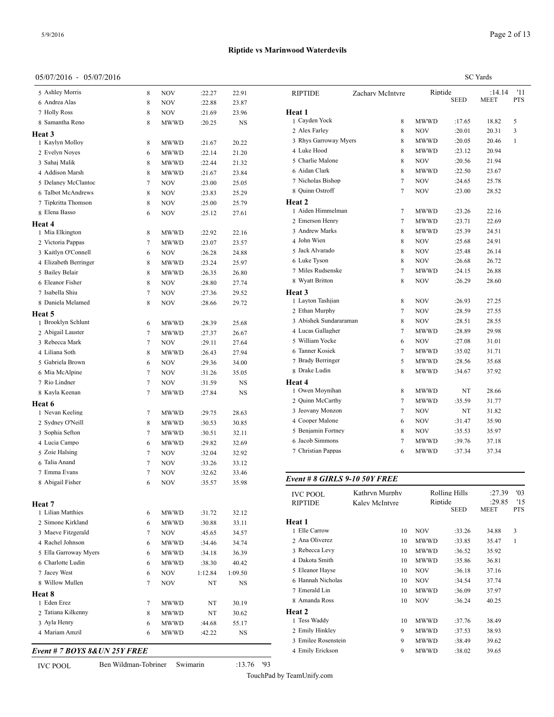# **Riptide vs Marinwood Waterdevils**

| 05/07/2016 - 05/07/2016 |   |             |         |         |               |
|-------------------------|---|-------------|---------|---------|---------------|
| 5 Ashley Morris         | 8 | NOV         | :22.27  | 22.91   | <b>RIPTID</b> |
| 6 Andrea Alas           | 8 | NOV         | :22.88  | 23.87   |               |
| 7 Holly Ross            | 8 | NOV         | :21.69  | 23.96   | Heat 1        |
| 8 Samantha Reno         | 8 | MWWD        | :20.25  | NS      | 1 Cayde       |
| <b>Heat 3</b>           |   |             |         |         | 2 Alex F      |
| 1 Kaylyn Molloy         | 8 | MWWD        | :21.67  | 20.22   | 3 Rhys        |
| 2 Evelyn Noyes          | 6 | MWWD        | :22.14  | 21.20   | 4 Luke I      |
| 3 Sahaj Malik           | 8 | MWWD        | :22.44  | 21.32   | 5 Charli      |
| 4 Addison Marsh         | 8 | MWWD        | :21.67  | 23.84   | 6 Aidan       |
| 5 Delaney McClantoc     | 7 | NOV         | :23.00  | 25.05   | 7 Nichol      |
| 6 Talbot McAndrews      | 8 | NOV         | :23.83  | 25.29   | 8 Quinn       |
| 7 Tipkritta Thomson     | 8 | NOV         | :25.00  | 25.79   | Heat 2        |
| 8 Elena Basso           | 6 | NOV         | :25.12  | 27.61   | 1 Aiden       |
| Heat 4                  |   |             |         |         | 2 Emers       |
| 1 Mia Elkington         | 8 | MWWD        | :22.92  | 22.16   | 3 Andre       |
| 2 Victoria Pappas       | 7 | MWWD        | :23.07  | 23.57   | 4 John V      |
| 3 Kaitlyn O'Connell     | 6 | NOV         | :26.28  | 24.88   | 5 Jack A      |
| 4 Elizabeth Berringer   | 8 | MWWD        | :23.24  | 25.97   | 6 Luke 7      |
| 5 Bailey Belair         | 8 | <b>MWWD</b> | :26.35  | 26.80   | 7 Miles       |
| 6 Eleanor Fisher        | 8 | NOV         | :28.80  | 27.74   | 8 Wyatt       |
| 7 Isabella Shiu         | 7 | NOV         | :27.36  | 29.52   | Heat 3        |
| 8 Daniela Melamed       | 8 | NOV         | :28.66  | 29.72   | 1 Laytor      |
| Heat 5                  |   |             |         |         | 2 Ethan       |
| 1 Brooklyn Schlunt      | 6 | MWWD        | :28.39  | 25.68   | 3 Abish       |
| 2 Abigail Lauster       | 7 | <b>MWWD</b> | :27.37  | 26.67   | 4 Lucas       |
| 3 Rebecca Mark          | 7 | <b>NOV</b>  | :29.11  | 27.64   | 5 Willia      |
| 4 Liliana Soth          | 8 | MWWD        | :26.43  | 27.94   | 6 Tanner      |
| 5 Gabriela Brown        | 6 | NOV         | :29.36  | 34.00   | 7 Brady       |
| 6 Mia McAlpine          | 7 | <b>NOV</b>  | :31.26  | 35.05   | 8 Drake       |
| 7 Rio Lindner           | 7 | NOV         | :31.59  | NS      | Heat 4        |
| 8 Kayla Keenan          | 7 | MWWD        | :27.84  | NS      | 1 Owen        |
| Heat 6                  |   |             |         |         | 2 Quinn       |
| 1 Nevan Keeling         | 7 | MWWD        | :29.75  | 28.63   | 3 Jeovar      |
| 2 Sydney O'Neill        | 8 | MWWD        | :30.53  | 30.85   | 4 Coope       |
| 3 Sophia Sefton         | 7 | MWWD        | :30.51  | 32.11   | 5 Benjar      |
| 4 Lucia Campo           | 6 | MWWD        | :29.82  | 32.69   | 6 Jacob       |
| 5 Zoie Halsing          | 7 | <b>NOV</b>  | :32.04  | 32.92   | 7 Christ      |
| 6 Talia Anand           | 7 | NOV         | :33.26  | 33.12   |               |
| 7 Emma Evans            | 7 | NOV         | :32.62  | 33.46   | Event#        |
| 8 Abigail Fisher        | 6 | <b>NOV</b>  | :35.57  | 35.98   |               |
|                         |   |             |         |         | <b>IVC PO</b> |
| Heat 7                  |   |             |         |         | <b>RIPTID</b> |
| 1 Lilian Matthies       | 6 | MWWD        | :31.72  | 32.12   |               |
| 2 Simone Kirkland       | 6 | MWWD        | :30.88  | 33.11   | Heat 1        |
| 3 Maeve Fitzgerald      | 7 | NOV         | :45.65  | 34.57   | 1 Elle C      |
| 4 Rachel Johnson        | 6 | MWWD        | :34.46  | 34.74   | 2 Ana O       |
| 5 Ella Garroway Myers   | 6 | MWWD        | :34.18  | 36.39   | 3 Rebec       |
| 6 Charlotte Ludin       | 6 | MWWD        | :38.30  | 40.42   | 4 Dakota      |
| 7 Jacey West            | 6 | NOV         | 1:12.84 | 1:09.50 | 5 Eleano      |
| 8 Willow Mullen         | 7 | NOV         | NT      | NS      | 6 Hanna       |
| <b>Heat 8</b>           |   |             |         |         | 7 Emera       |
| 1 Eden Erez             | 7 | MWWD        | NT      | 30.19   | 8 Aman        |
| 2 Tatiana Kilkenny      | 8 | MWWD        | NT      | 30.62   | Heat 2        |
| 3 Ayla Henry            | 6 | MWWD        | :44.68  | 55.17   | 1 Tess V      |
| 4 Mariam Amzil          | 6 | MWWD        | :42.22  | NS      | 2 Emily       |
|                         |   |             |         |         | 3 Emile       |

*Event # 7 BOYS 8&UN 25Y FREE*

IVC POOL Ben Wildman-Tobriner Swimarin :13.76 '93

|                        |                  | <b>SC</b> Yards |                        |                       |                   |  |  |
|------------------------|------------------|-----------------|------------------------|-----------------------|-------------------|--|--|
| <b>RIPTIDE</b>         | Zachary McIntyre |                 | Riptide<br><b>SEED</b> | :14.14<br><b>MEET</b> | '11<br><b>PTS</b> |  |  |
| Heat 1                 |                  |                 |                        |                       |                   |  |  |
| 1 Cayden Yock          | 8                | MWWD            | :17.65                 | 18.82                 | 5                 |  |  |
| 2 Alex Farley          | 8                | NOV             | :20.01                 | 20.31                 | 3                 |  |  |
| 3 Rhys Garroway Myers  | 8                | MWWD            | :20.05                 | 20.46                 | 1                 |  |  |
| 4 Luke Hood            | 8                | MWWD            | : 23.12                | 20.94                 |                   |  |  |
| 5 Charlie Malone       | 8                | NOV             | :20.56                 | 21.94                 |                   |  |  |
| 6 Aidan Clark          | 8                | MWWD            | :22.50                 | 23.67                 |                   |  |  |
| 7 Nicholas Bishop      | $\tau$           | <b>NOV</b>      | :24.65                 | 25.78                 |                   |  |  |
| 8 Quinn Ostroff        | $\tau$           | <b>NOV</b>      | :23.00                 | 28.52                 |                   |  |  |
| <b>Heat 2</b>          |                  |                 |                        |                       |                   |  |  |
| 1 Aiden Himmelman      | $\tau$           | MWWD            | :23.26                 | 22.16                 |                   |  |  |
| 2 Emerson Henry        | $\tau$           | MWWD            | :23.71                 | 22.69                 |                   |  |  |
| 3 Andrew Marks         | 8                | <b>MWWD</b>     | :25.39                 | 24.51                 |                   |  |  |
| 4 John Wien            | 8                | <b>NOV</b>      | :25.68                 | 24.91                 |                   |  |  |
| 5 Jack Alvarado        | 8                | <b>NOV</b>      | :25.48                 | 26.14                 |                   |  |  |
| 6 Luke Tyson           | 8                | <b>NOV</b>      | :26.68                 | 26.72                 |                   |  |  |
| 7 Miles Rudsenske      | $\tau$           | <b>MWWD</b>     | :24.15                 | 26.88                 |                   |  |  |
| 8 Wyatt Britton        | 8                | NOV             | :26.29                 | 28.60                 |                   |  |  |
| <b>Heat 3</b>          |                  |                 |                        |                       |                   |  |  |
| 1 Layton Tashjian      | 8                | <b>NOV</b>      | :26.93                 | 27.25                 |                   |  |  |
| 2 Ethan Murphy         | 7                | <b>NOV</b>      | :28.59                 | 27.55                 |                   |  |  |
| 3 Abishek Sundararaman | 8                | NOV             | :28.51                 | 28.55                 |                   |  |  |
| 4 Lucas Gallagher      | 7                | MWWD            | :28.89                 | 29.98                 |                   |  |  |
| 5 William Yocke        | 6                | NOV             | :27.08                 | 31.01                 |                   |  |  |
| 6 Tanner Kosiek        | 7                | MWWD            | :35.02                 | 31.71                 |                   |  |  |
| 7 Brady Berringer      | 5                | MWWD            | :28.56                 | 35.68                 |                   |  |  |
| 8 Drake Ludin          | 8                | MWWD            | :34.67                 | 37.92                 |                   |  |  |
| <b>Heat 4</b>          |                  |                 |                        |                       |                   |  |  |
| 1 Owen Moynihan        | 8                | MWWD            | NT                     | 28.66                 |                   |  |  |
| 2 Quinn McCarthy       | $\overline{7}$   | MWWD            | :35.59                 | 31.77                 |                   |  |  |
| 3 Jeovany Monzon       | $\overline{7}$   | <b>NOV</b>      | NT                     | 31.82                 |                   |  |  |
| 4 Cooper Malone        | 6                | <b>NOV</b>      | :31.47                 | 35.90                 |                   |  |  |
| 5 Benjamin Fortney     | 8                | <b>NOV</b>      | :35.53                 | 35.97                 |                   |  |  |
| 6 Jacob Simmons        | 7                | MWWD            | :39.76                 | 37.18                 |                   |  |  |
| 7 Christian Pappas     | 6                | MWWD            | :37.34                 | 37.34                 |                   |  |  |
|                        |                  |                 |                        |                       |                   |  |  |

*Event # 8 GIRLS 9-10 50Y FREE*

| <b>IVC POOL</b>     | Kathryn Murphy |             | Rolling Hills |        | '03          |
|---------------------|----------------|-------------|---------------|--------|--------------|
| <b>RIPTIDE</b>      | Kalev McIntvre | Riptide     |               | :29.85 | '15          |
|                     |                |             | <b>SEED</b>   | MEET   | <b>PTS</b>   |
| Heat 1              |                |             |               |        |              |
| 1 Elle Carrow       | 10             | <b>NOV</b>  | :33.26        | 34.88  | 3            |
| 2 Ana Oliverez      | 10             | <b>MWWD</b> | :33.85        | 35.47  | $\mathbf{1}$ |
| 3 Rebecca Levy      | 10             | <b>MWWD</b> | :36.52        | 35.92  |              |
| 4 Dakota Smith      | 10             | <b>MWWD</b> | :35.86        | 36.81  |              |
| 5 Eleanor Hayse     | 10             | <b>NOV</b>  | :36.18        | 37.16  |              |
| 6 Hannah Nicholas   | 10             | <b>NOV</b>  | :34.54        | 37.74  |              |
| 7 Emerald Lin       | 10             | <b>MWWD</b> | :36.09        | 37.97  |              |
| 8 Amanda Ross       | 10             | <b>NOV</b>  | :36.24        | 40.25  |              |
| Heat 2              |                |             |               |        |              |
| 1 Tess Waddy        | 10             | <b>MWWD</b> | :37.76        | 38.49  |              |
| 2 Emily Hinkley     | 9              | <b>MWWD</b> | :37.53        | 38.93  |              |
| 3 Emilee Rosenstein | 9              | <b>MWWD</b> | :38.49        | 39.62  |              |
| 4 Emily Erickson    | 9              | MWWD        | :38.02        | 39.65  |              |
|                     |                |             |               |        |              |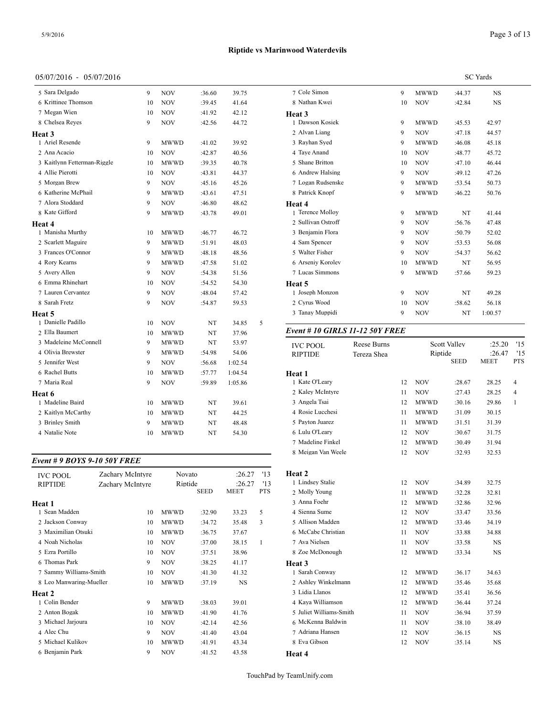| 05/07/2016 - 05/07/2016     |    |             |        |         |   |                 |
|-----------------------------|----|-------------|--------|---------|---|-----------------|
| 5 Sara Delgado              | 9  | <b>NOV</b>  | :36.60 | 39.75   |   | 7 Cole Simo     |
| 6 Krittinee Thomson         | 10 | <b>NOV</b>  | :39.45 | 41.64   |   | 8 Nathan K      |
| 7 Megan Wien                | 10 | <b>NOV</b>  | :41.92 | 42.12   |   | Heat 3          |
| 8 Chelsea Reyes             | 9  | <b>NOV</b>  | :42.56 | 44.72   |   | 1 Dawson F      |
| <b>Heat 3</b>               |    |             |        |         |   | 2 Alvan Lia     |
| 1 Ariel Resende             | 9  | <b>MWWD</b> | :41.02 | 39.92   |   | 3 Rayhan S      |
| 2 Ana Acacio                | 10 | <b>NOV</b>  | :42.87 | 40.56   |   | 4 Taye Ana      |
| 3 Kaitlynn Fetterman-Riggle | 10 | <b>MWWD</b> | :39.35 | 40.78   |   | 5 Shane Bri     |
| 4 Allie Pierotti            | 10 | <b>NOV</b>  | :43.81 | 44.37   |   | 6 Andrew F      |
| 5 Morgan Brew               | 9  | <b>NOV</b>  | :45.16 | 45.26   |   | 7 Logan Ru      |
| 6 Katherine McPhail         | 9  | <b>MWWD</b> | :43.61 | 47.51   |   | 8 Patrick K     |
| 7 Alora Stoddard            | 9  | <b>NOV</b>  | :46.80 | 48.62   |   | Heat 4          |
| 8 Kate Gifford              | 9  | <b>MWWD</b> | :43.78 | 49.01   |   | 1 Terence M     |
| <b>Heat 4</b>               |    |             |        |         |   | 2 Sullivan 0    |
| 1 Manisha Murthy            | 10 | <b>MWWD</b> | :46.77 | 46.72   |   | 3 Benjamin      |
| 2 Scarlett Maguire          | 9  | <b>MWWD</b> | :51.91 | 48.03   |   | 4 Sam Spen      |
| 3 Frances O'Connor          | 9  | <b>MWWD</b> | :48.18 | 48.56   |   | 5 Walter Fis    |
| 4 Rory Kearns               | 9  | <b>MWWD</b> | :47.58 | 51.02   |   | 6 Arseniy K     |
| 5 Avery Allen               | 9  | <b>NOV</b>  | :54.38 | 51.56   |   | 7 Lucas Sin     |
| 6 Emma Rhinehart            | 10 | <b>NOV</b>  | :54.52 | 54.30   |   | Heat 5          |
| 7 Lauren Cervantez          | 9  | <b>NOV</b>  | :48.04 | 57.42   |   | 1 Joseph M      |
| 8 Sarah Fretz               | 9  | <b>NOV</b>  | :54.87 | 59.53   |   | 2 Cyrus Wo      |
| Heat 5                      |    |             |        |         |   | 3 Tanay Mu      |
| 1 Danielle Padillo          | 10 | <b>NOV</b>  | NT     | 34.85   | 5 |                 |
| 2 Ella Baumert              | 10 | <b>MWWD</b> | NT     | 37.96   |   | Event # $10$    |
| 3 Madeleine McConnell       | 9  | <b>MWWD</b> | NT     | 53.97   |   | <b>IVC POOI</b> |
| 4 Olivia Brewster           | 9  | <b>MWWD</b> | :54.98 | 54.06   |   | <b>RIPTIDE</b>  |
| 5 Jennifer West             | 9  | <b>NOV</b>  | :56.68 | 1:02.54 |   |                 |

| 7 Maria Real       | 9  | <b>NOV</b>  | :59.89 | 1:05.86 | 1 Kat |
|--------------------|----|-------------|--------|---------|-------|
| Heat 6             |    |             |        |         | 2 Kal |
| 1 Madeline Baird   | 10 | <b>MWWD</b> | NT     | 39.61   | 3 Ang |
| 2 Kaitlyn McCarthy | 10 | <b>MWWD</b> | NT     | 44.25   | 4 Ros |
| 3 Brinley Smith    | 9  | <b>MWWD</b> | NT     | 48.48   | 5 Pay |
| 4 Natalie Note     | 10 | <b>MWWD</b> | NT     | 54.30   | 6 Lul |
|                    |    |             |        |         | 7 Ma  |

Rachel Butts 10 MWWD :57.77 1:04.54

#### *Event # 9 BOYS 9-10 50Y FREE*

| <b>IVC POOL</b><br><b>RIPTIDE</b> | Zachary McIntyre<br>Zachary McIntyre | Novato<br>Riptide |        | :26.27<br>:26.27 | '13<br>13  | Heat 2<br>1 Lindsey Stalie |
|-----------------------------------|--------------------------------------|-------------------|--------|------------------|------------|----------------------------|
|                                   |                                      | <b>SEED</b>       |        | <b>MEET</b>      | <b>PTS</b> | 2 Molly Young              |
| Heat 1                            |                                      |                   |        |                  |            | 3 Anna Foehr               |
| 1 Sean Madden                     | 10                                   | <b>MWWD</b>       | :32.90 | 33.23            | 5          | 4 Sienna Sume              |
| 2 Jackson Conway                  | 10                                   | <b>MWWD</b>       | :34.72 | 35.48            | 3          | 5 Allison Madden           |
| 3 Maximilian Otsuki               | 10                                   | <b>MWWD</b>       | :36.75 | 37.67            |            | 6 McCabe Christia          |
| 4 Noah Nicholas                   | 10                                   | <b>NOV</b>        | :37.00 | 38.15            | 1          | 7 Ava Nielsen              |
| 5 Ezra Portillo                   | 10                                   | <b>NOV</b>        | :37.51 | 38.96            |            | 8 Zoe McDonougl            |
| 6 Thomas Park                     | 9                                    | <b>NOV</b>        | :38.25 | 41.17            |            | Heat 3                     |
| 7 Sammy Williams-Smith            | 10                                   | <b>NOV</b>        | :41.30 | 41.32            |            | 1 Sarah Conway             |
| 8 Leo Manwaring-Mueller           | 10                                   | <b>MWWD</b>       | :37.19 | <b>NS</b>        |            | 2 Ashley Winkeln           |
| Heat 2                            |                                      |                   |        |                  |            | 3 Lidia Llanos             |
| 1 Colin Bender                    | 9                                    | <b>MWWD</b>       | :38.03 | 39.01            |            | 4 Kaya Williamso           |
| 2 Anton Bogak                     | 10                                   | <b>MWWD</b>       | :41.90 | 41.76            |            | 5 Juliet Williams-         |
| 3 Michael Jarjoura                | 10                                   | <b>NOV</b>        | :42.14 | 42.56            |            | 6 McKenna Baldv            |
| 4 Alec Chu                        | 9                                    | <b>NOV</b>        | :41.40 | 43.04            |            | 7 Adriana Hansen           |
| 5 Michael Kulikov                 | 10                                   | <b>MWWD</b>       | :41.91 | 43.34            |            | 8 Eva Gibson               |
| 6 Benjamin Park                   | 9                                    | <b>NOV</b>        | :41.52 | 43.58            |            | <b>Heat 4</b>              |
|                                   |                                      |                   |        |                  |            |                            |

TouchPad by TeamUnify.com

**Riptide vs Marinwood Waterdevils**

| 7 Cole Simon                           |             | 9  | <b>MWWD</b> | :44.37       | NS             |            |
|----------------------------------------|-------------|----|-------------|--------------|----------------|------------|
| 8 Nathan Kwei                          |             | 10 | NOV         | :42.84       | NS             |            |
| <b>Heat 3</b>                          |             |    |             |              |                |            |
| 1 Dawson Kosiek                        |             | 9  | <b>MWWD</b> | :45.53       | 42.97          |            |
| 2 Alvan Liang                          |             | 9  | NOV         | :47.18       | 44.57          |            |
| 3 Rayhan Syed                          |             | 9  | <b>MWWD</b> | :46.08       | 45.18          |            |
| 4 Taye Anand                           |             | 10 | <b>NOV</b>  | :48.77       | 45.72          |            |
| 5 Shane Britton                        |             | 10 | NOV         | :47.10       | 46.44          |            |
| 6 Andrew Halsing                       |             | 9  | <b>NOV</b>  | :49.12       | 47.26          |            |
| 7 Logan Rudsenske                      |             | 9  | <b>MWWD</b> | :53.54       | 50.73          |            |
| 8 Patrick Knopf                        |             | 9  | MWWD        | :46.22       | 50.76          |            |
| Heat 4                                 |             |    |             |              |                |            |
| 1 Terence Molloy                       |             | 9  | <b>MWWD</b> | NT           | 41.44          |            |
| 2 Sullivan Ostroff                     |             | 9  | NOV         | :56.76       | 47.48          |            |
| 3 Benjamin Flora                       |             | 9  | <b>NOV</b>  | :50.79       | 52.02          |            |
| 4 Sam Spencer                          |             | 9  | NOV         | :53.53       | 56.08          |            |
| 5 Walter Fisher                        |             | 9  | NOV         | :54.37       | 56.62          |            |
| 6 Arseniy Korolev                      |             | 10 | <b>MWWD</b> | NT           | 56.95          |            |
| 7 Lucas Simmons                        |             | 9  | MWWD        | :57.66       | 59.23          |            |
| Heat 5                                 |             |    |             |              |                |            |
| 1 Joseph Monzon                        |             | 9  | NOV         | NT           | 49.28          |            |
| 2 Cyrus Wood                           |             | 10 | NOV         | :58.62       | 56.18          |            |
| 3 Tanay Muppidi                        |             | 9  | NOV         | NT           | 1:00.57        |            |
| <b>Event # 10 GIRLS 11-12 50Y FREE</b> |             |    |             |              |                |            |
|                                        |             |    |             |              |                |            |
| <b>IVC POOL</b>                        | Reese Burns |    |             | Scott Valley | :25.20         | '15        |
| <b>RIPTIDE</b>                         | Tereza Shea |    | Riptide     | <b>SEED</b>  | :26.47<br>MEET | '15<br>PTS |
|                                        |             |    |             |              |                |            |
| Heat 1<br>1 Kate O'Leary               |             | 12 | NOV         | :28.67       | 28.25          | 4          |
| 2 Kaley McIntyre                       |             | 11 | NOV         | :27.43       | 28.25          | 4          |
| 3 Angela Tsai                          |             | 12 | <b>MWWD</b> | :30.16       | 29.86          | 1          |
| 4 Rosie Lucchesi                       |             | 11 | MWWD        | :31.09       | 30.15          |            |
| 5 Payton Juarez                        |             | 11 | <b>MWWD</b> | :31.51       | 31.39          |            |
| 6 Lulu O'Leary                         |             | 12 | NOV         | :30.67       | 31.75          |            |
| 7 Madeline Finkel                      |             | 12 | <b>MWWD</b> | :30.49       | 31.94          |            |
| 8 Meigan Van Weele                     |             | 12 | NOV         | :32.93       | 32.53          |            |
|                                        |             |    |             |              |                |            |
| Heat 2                                 |             |    |             |              |                |            |
| 1 Lindsey Stalie                       |             | 12 | NOV         | :34.89       | 32.75          |            |
| 2 Molly Young                          |             | 11 | MWWD        | :32.28       | 32.81          |            |
| 3 Anna Foehr                           |             | 12 | MWWD        | :32.86       | 32.96          |            |
| 4 Sienna Sume                          |             | 12 | <b>NOV</b>  | :33.47       | 33.56          |            |
| 5 Allison Madden                       |             | 12 | MWWD        | :33.46       | 34.19          |            |
| 6 McCabe Christian                     |             | 11 | NOV         | :33.88       | 34.88          |            |
| 7 Ava Nielsen                          |             | 11 | NOV         | :33.58       | NS             |            |
| 8 Zoe McDonough                        |             | 12 | MWWD        | :33.34       | NS             |            |
| <b>Heat 3</b>                          |             |    |             |              |                |            |
| 1 Sarah Conway                         |             | 12 | MWWD        | :36.17       | 34.63          |            |
| 2 Ashley Winkelmann                    |             | 12 | MWWD        | :35.46       | 35.68          |            |
| 3 Lidia Llanos                         |             | 12 | MWWD        | :35.41       | 36.56          |            |
|                                        |             |    |             |              |                |            |

 Kaya Williamson 12 MWWD :36.44 37.24 Juliet Williams-Smith 11 NOV :36.94 37.59 McKenna Baldwin 11 NOV :38.10 38.49 Adriana Hansen 12 NOV :36.15 NS 8 Eva Gibson 12 NOV :35.14 NS

SC Yards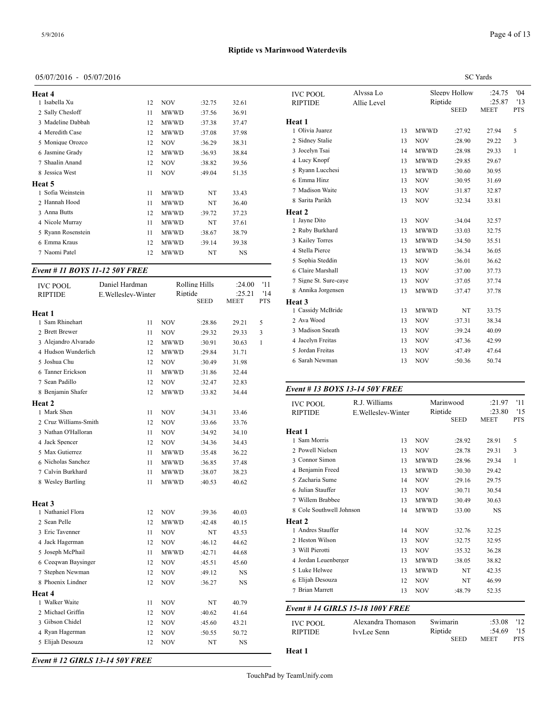| Heat 4             |    |             |        |           | <b>IVC PO</b> |
|--------------------|----|-------------|--------|-----------|---------------|
| 1 Isabella Xu      | 12 | <b>NOV</b>  | :32.75 | 32.61     | <b>RIPTID</b> |
| 2 Sally Chesloff   | 11 | <b>MWWD</b> | :37.56 | 36.91     |               |
| 3 Madeline Dabbah  | 12 | <b>MWWD</b> | :37.38 | 37.47     | <b>Heat 1</b> |
| 4 Meredith Case    | 12 | <b>MWWD</b> | :37.08 | 37.98     | 1 Olivia      |
| 5 Monique Orozco   | 12 | <b>NOV</b>  | :36.29 | 38.31     | 2 Sidney      |
| 6 Jasmine Grady    | 12 | <b>MWWD</b> | :36.93 | 38.84     | 3 Jocely      |
| 7 Shaalin Anand    | 12 | <b>NOV</b>  | :38.82 | 39.56     | 4 Lucy I      |
| 8 Jessica West     | 11 | <b>NOV</b>  | :49.04 | 51.35     | 5 Ryann       |
| <b>Heat 5</b>      |    |             |        |           | 6 Emma        |
| 1 Sofia Weinstein  | 11 | <b>MWWD</b> | NT     | 33.43     | 7 Madis       |
| 2 Hannah Hood      | 11 | <b>MWWD</b> | NT     | 36.40     | 8 Sarita      |
| 3 Anna Butts       | 12 | <b>MWWD</b> | :39.72 | 37.23     | <b>Heat 2</b> |
| 4 Nicole Murray    | 11 | <b>MWWD</b> | NT     | 37.61     | 1 Jayne       |
| 5 Ryann Rosenstein | 11 | <b>MWWD</b> | :38.67 | 38.79     | 2 Ruby        |
| 6 Emma Kraus       | 12 | <b>MWWD</b> | :39.14 | 39.38     | 3 Kailey      |
| 7 Naomi Patel      | 12 | MWWD        | NT     | <b>NS</b> | 4 Stella      |
|                    |    |             |        |           | $5$ Sophis    |

#### *Event # 11 BOYS 11-12 50Y FREE*

| <b>IVC POOL</b><br><b>RIPTIDE</b> | Daniel Hardman<br>E. Welleslev-Winter |             | <b>Rolling Hills</b><br>Riptide | :24.00<br>:25.21 | '11<br>'14 | 7 Signe St. Sure-c<br>8 Annika Jorgense |
|-----------------------------------|---------------------------------------|-------------|---------------------------------|------------------|------------|-----------------------------------------|
|                                   |                                       |             | <b>SEED</b>                     | <b>MEET</b>      | <b>PTS</b> | Heat 3                                  |
| Heat 1                            |                                       |             |                                 |                  |            | 1 Cassidy McBrid                        |
| 1 Sam Rhinehart                   | 11                                    | <b>NOV</b>  | :28.86                          | 29.21            | 5          | 2 Ava Wood                              |
| 2 Brett Brewer                    | 11                                    | <b>NOV</b>  | :29.32                          | 29.33            | 3          | 3 Madison Sneath                        |
| 3 Alejandro Alvarado              | 12                                    | MWWD        | :30.91                          | 30.63            | 1          | 4 Jacelyn Freitas                       |
| 4 Hudson Wunderlich               | 12                                    | <b>MWWD</b> | :29.84                          | 31.71            |            | 5 Jordan Freitas                        |
| 5 Joshua Chu                      | 12                                    | <b>NOV</b>  | :30.49                          | 31.98            |            | 6 Sarah Newman                          |
| 6 Tanner Erickson                 | 11                                    | MWWD        | :31.86                          | 32.44            |            |                                         |
| 7 Sean Padillo                    | 12                                    | <b>NOV</b>  | :32.47                          | 32.83            |            |                                         |
| 8 Benjamin Shafer                 | 12                                    | MWWD        | :33.82                          | 34.44            |            | Event # 13 BOY                          |
| <b>Heat 2</b>                     |                                       |             |                                 |                  |            | <b>IVC POOL</b>                         |
| 1 Mark Shen                       | 11                                    | <b>NOV</b>  | :34.31                          | 33.46            |            | <b>RIPTIDE</b>                          |
| 2 Cruz Williams-Smith             | 12                                    | <b>NOV</b>  | :33.66                          | 33.76            |            |                                         |
| 3 Nathan O'Halloran               | 11                                    | <b>NOV</b>  | :34.92                          | 34.10            |            | Heat 1                                  |
| 4 Jack Spencer                    | 12                                    | NOV         | :34.36                          | 34.43            |            | 1 Sam Morris                            |
| 5 Max Gutierrez                   | 11                                    | MWWD        | :35.48                          | 36.22            |            | 2 Powell Nielsen                        |
| 6 Nicholas Sanchez                | 11                                    | <b>MWWD</b> | :36.85                          | 37.48            |            | 3 Connor Simon                          |
| 7 Calvin Burkhard                 | 11                                    | MWWD        | :38.07                          | 38.23            |            | 4 Benjamin Freed                        |
| 8 Wesley Bartling                 | 11                                    | <b>MWWD</b> | :40.53                          | 40.62            |            | 5 Zacharia Sume                         |
|                                   |                                       |             |                                 |                  |            | 6 Julian Stauffer                       |
| <b>Heat 3</b>                     |                                       |             |                                 |                  |            | 7 Willem Brabbee                        |
| 1 Nathaniel Flora                 | 12                                    | NOV         | :39.36                          | 40.03            |            | 8 Cole Southwell                        |
| 2 Sean Pelle                      | 12                                    | <b>MWWD</b> | :42.48                          | 40.15            |            | Heat 2                                  |
| 3 Eric Tavenner                   | 11                                    | <b>NOV</b>  | NT                              | 43.53            |            | 1 Andres Stauffer                       |
| 4 Jack Hagerman                   | 12                                    | <b>NOV</b>  | :46.12                          | 44.62            |            | 2 Heston Wilson                         |
| 5 Joseph McPhail                  | 11                                    | <b>MWWD</b> | :42.71                          | 44.68            |            | 3 Will Pierotti                         |
| 6 Ceeqwan Baysinger               | 12                                    | NOV         | :45.51                          | 45.60            |            | 4 Jordan Leuenber                       |
| 7 Stephen Newman                  | 12                                    | NOV         | :49.12                          | NS               |            | 5 Luke Helwee                           |
| 8 Phoenix Lindner                 | 12                                    | <b>NOV</b>  | :36.27                          | NS.              |            | 6 Elijah Desouza                        |
| Heat 4                            |                                       |             |                                 |                  |            | 7 Brian Marrett                         |
| 1 Walker Waite                    | 11                                    | <b>NOV</b>  | NT                              | 40.79            |            |                                         |
| 2 Michael Griffin                 | 12                                    | NOV         | :40.62                          | 41.64            |            | Event # 14 GIRI                         |
| 3 Gibson Chidel                   | 12                                    | NOV         | :45.60                          | 43.21            |            | <b>IVC POOL</b>                         |
| 4 Ryan Hagerman                   | 12                                    | <b>NOV</b>  | :50.55                          | 50.72            |            | <b>RIPTIDE</b>                          |
| 5 Elijah Desouza                  | 12                                    | <b>NOV</b>  | NT                              | NS               |            |                                         |
|                                   |                                       |             |                                 |                  |            | Heat 1                                  |

|                                   |                          |    | <b>SC</b> Yards                         |        |                                 |                          |  |  |  |
|-----------------------------------|--------------------------|----|-----------------------------------------|--------|---------------------------------|--------------------------|--|--|--|
| <b>IVC POOL</b><br><b>RIPTIDE</b> | Alvssa Lo<br>Allie Level |    | Sleepy Hollow<br>Riptide<br><b>SEED</b> |        | :24.75<br>:25.87<br><b>MEET</b> | '04<br>'13<br><b>PTS</b> |  |  |  |
| Heat 1                            |                          |    |                                         |        |                                 |                          |  |  |  |
| 1 Olivia Juarez                   |                          | 13 | <b>MWWD</b>                             | :27.92 | 27.94                           | 5                        |  |  |  |
| 2 Sidney Stalie                   |                          | 13 | <b>NOV</b>                              | :28.90 | 29.22                           | 3                        |  |  |  |
| 3 Jocelyn Tsai                    |                          | 14 | <b>MWWD</b>                             | :28.98 | 29.33                           | $\mathbf{1}$             |  |  |  |
| 4 Lucy Knopf                      |                          | 13 | <b>MWWD</b>                             | :29.85 | 29.67                           |                          |  |  |  |
| 5 Ryann Lucchesi                  |                          | 13 | <b>MWWD</b>                             | :30.60 | 30.95                           |                          |  |  |  |
| 6 Emma Hinz                       |                          | 13 | <b>NOV</b>                              | :30.95 | 31.69                           |                          |  |  |  |
| 7 Madison Waite                   |                          | 13 | <b>NOV</b>                              | :31.87 | 32.87                           |                          |  |  |  |
| 8 Sarita Parikh                   |                          | 13 | <b>NOV</b>                              | :32.34 | 33.81                           |                          |  |  |  |
| <b>Heat 2</b>                     |                          |    |                                         |        |                                 |                          |  |  |  |
| 1 Jayne Dito                      |                          | 13 | <b>NOV</b>                              | :34.04 | 32.57                           |                          |  |  |  |
| 2 Ruby Burkhard                   |                          | 13 | <b>MWWD</b>                             | :33.03 | 32.75                           |                          |  |  |  |
| 3 Kailey Torres                   |                          | 13 | <b>MWWD</b>                             | :34.50 | 35.51                           |                          |  |  |  |
| 4 Stella Pierce                   |                          | 13 | <b>MWWD</b>                             | :36.34 | 36.05                           |                          |  |  |  |
| 5 Sophia Steddin                  |                          | 13 | <b>NOV</b>                              | :36.01 | 36.62                           |                          |  |  |  |
| 6 Claire Marshall                 |                          | 13 | <b>NOV</b>                              | :37.00 | 37.73                           |                          |  |  |  |
| 7 Signe St. Sure-caye             |                          | 13 | <b>NOV</b>                              | :37.05 | 37.74                           |                          |  |  |  |
| 8 Annika Jorgensen                |                          | 13 | <b>MWWD</b>                             | :37.47 | 37.78                           |                          |  |  |  |
| <b>Heat 3</b>                     |                          |    |                                         |        |                                 |                          |  |  |  |
| 1 Cassidy McBride                 |                          | 13 | <b>MWWD</b>                             | NT     | 33.75                           |                          |  |  |  |
| 2 Ava Wood                        |                          | 13 | <b>NOV</b>                              | :37.31 | 38.34                           |                          |  |  |  |
| 3 Madison Sneath                  |                          | 13 | <b>NOV</b>                              | :39.24 | 40.09                           |                          |  |  |  |
| 4 Jacelyn Freitas                 |                          | 13 | <b>NOV</b>                              | :47.36 | 42.99                           |                          |  |  |  |
| 5 Jordan Freitas                  |                          | 13 | <b>NOV</b>                              | :47.49 | 47.64                           |                          |  |  |  |
| 6 Sarah Newman                    |                          | 13 | <b>NOV</b>                              | :50.36 | 50.74                           |                          |  |  |  |

#### *Event # 13 BOYS 13-14 50Y FREE*

| <b>IVC POOL</b><br><b>RIPTIDE</b> | R.J. Williams<br>E. Welleslev-Winter | Riptide             | Marinwood<br><b>SEED</b> | :21.97<br>:23.80<br><b>MEET</b> | '11<br>'15<br><b>PTS</b> |
|-----------------------------------|--------------------------------------|---------------------|--------------------------|---------------------------------|--------------------------|
| Heat 1                            |                                      |                     |                          |                                 |                          |
| 1 Sam Morris                      | 13                                   | <b>NOV</b>          | :28.92                   | 28.91                           | 5                        |
| 2 Powell Nielsen                  | 13                                   | <b>NOV</b>          | :28.78                   | 29.31                           | 3                        |
| 3 Connor Simon                    | 13                                   | <b>MWWD</b>         | :28.96                   | 29.34                           | 1                        |
| 4 Benjamin Freed                  | 13                                   | <b>MWWD</b>         | :30.30                   | 29.42                           |                          |
| 5 Zacharia Sume                   | 14                                   | <b>NOV</b>          | :29.16                   | 29.75                           |                          |
| 6 Julian Stauffer                 | 13                                   | <b>NOV</b>          | :30.71                   | 30.54                           |                          |
| 7 Willem Brabbee                  | 13                                   | <b>MWWD</b>         | :30.49                   | 30.63                           |                          |
| 8 Cole Southwell Johnson          | 14                                   | <b>MWWD</b>         | :33.00                   | <b>NS</b>                       |                          |
| <b>Heat 2</b>                     |                                      |                     |                          |                                 |                          |
| 1 Andres Stauffer                 | 14                                   | <b>NOV</b>          | :32.76                   | 32.25                           |                          |
| 2 Heston Wilson                   | 13                                   | <b>NOV</b>          | :32.75                   | 32.95                           |                          |
| 3 Will Pierotti                   | 13                                   | <b>NOV</b>          | :35.32                   | 36.28                           |                          |
| 4 Jordan Leuenberger              | 13                                   | <b>MWWD</b>         | :38.05                   | 38.82                           |                          |
| 5 Luke Helwee                     | 13                                   | <b>MWWD</b>         | NT                       | 42.35                           |                          |
| 6 Elijah Desouza                  | 12                                   | <b>NOV</b>          | NT                       | 46.99                           |                          |
| 7 Brian Marrett                   | 13                                   | <b>NOV</b>          | :48.79                   | 52.35                           |                          |
|                                   | Event # 14 GIRLS 15-18 100Y FREE     |                     |                          |                                 |                          |
| <b>IVC POOL</b><br><b>RIPTIDE</b> | Alexandra Thomason<br>IvvLee Senn    | Swimarin<br>Riptide |                          | :53.08<br>:54.69                | '12<br>'15               |
|                                   |                                      |                     | <b>SEED</b>              | <b>MEET</b>                     | <b>PTS</b>               |

# **Heat 1**

# *Event # 12 GIRLS 13-14 50Y FREE*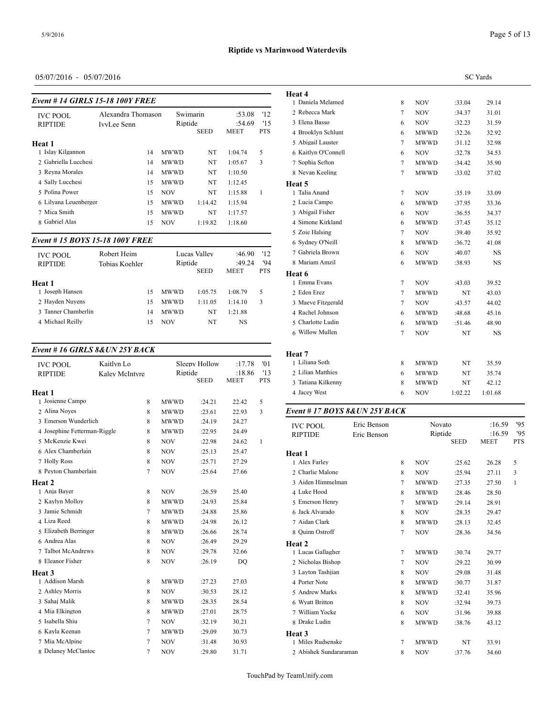| Event #14 GIRLS 15-18 100Y FREE   |                                   |            |                     |             |                          |                         | Heat 4<br>1 Daniela Melame                           |
|-----------------------------------|-----------------------------------|------------|---------------------|-------------|--------------------------|-------------------------|------------------------------------------------------|
| <b>IVC POOL</b><br><b>RIPTIDE</b> | Alexandra Thomason<br>IvvLee Senn |            | Swimarin<br>Riptide | <b>SEED</b> | :53.08<br>:54.69<br>MEET | '12<br>15<br><b>PTS</b> | 2 Rebecca Mark<br>3 Elena Basso<br>4 Brooklyn Schlui |
| Heat 1                            |                                   |            |                     |             |                          |                         | 5 Abigail Lauster                                    |
| 1 Islay Kilgannon                 | 14                                |            | <b>MWWD</b>         | NT          | 1:04.74                  | 5                       | 6 Kaitlyn O'Conne                                    |
| 2 Gabriella Lucchesi              | 14                                |            | <b>MWWD</b>         | NT          | 1:05.67                  | 3                       | 7 Sophia Sefton                                      |
| 3 Reyna Morales                   | 14                                |            | <b>MWWD</b>         | NT          | 1:10.50                  |                         | 8 Nevan Keeling                                      |
| 4 Sally Lucchesi                  | 15                                |            | <b>MWWD</b>         | NT          | 1:12.45                  |                         | Heat 5                                               |
| 5 Polina Power                    | 15                                | <b>NOV</b> |                     | NT          | 1:15.88                  | 1                       | 1 Talia Anand                                        |
| 6 Lilyana Leuenberger             | 15                                |            | <b>MWWD</b>         | 1:14.42     | 1:15.94                  |                         | 2 Lucia Campo                                        |
| 7 Mica Smith                      | 15                                |            | <b>MWWD</b>         | NT          | 1:17.57                  |                         | 3 Abigail Fisher                                     |
| 8 Gabriel Alas                    | 15                                | <b>NOV</b> |                     | 1:19.82     | 1:18.60                  |                         | 4 Simone Kirkland                                    |
|                                   |                                   |            |                     |             |                          |                         | 5 Zoie Halsing                                       |

# *Event # 15 BOYS 15-18 100Y FREE*

| <b>IVC POOL</b><br><b>RIPTIDE</b> | Robert Heim<br>Tobias Koehler | Riptide     | Lucas Valley<br><b>SEED</b> | :46.90<br>:49.24<br><b>MEET</b> | '12<br>'94<br><b>PTS</b> | 7 Gabriela Brown<br>8 Mariam Amzil<br>Heat 6 |
|-----------------------------------|-------------------------------|-------------|-----------------------------|---------------------------------|--------------------------|----------------------------------------------|
| Heat 1                            |                               |             |                             |                                 |                          | 1 Emma Evans                                 |
| 1 Joseph Hansen                   | 15                            | <b>MWWD</b> | 1:05.75                     | 1:08.79                         | 5                        | 2 Eden Erez                                  |
| 2 Havden Nuvens                   | 15                            | <b>MWWD</b> | 1:11.05                     | 1:14.10                         | 3                        | 3 Maeve Fitzgeral                            |
| 3 Tanner Chamberlin               | 14                            | <b>MWWD</b> | NT                          | 1:21.88                         |                          | 4 Rachel Johnson                             |
| 4 Michael Reilly                  | 15                            | <b>NOV</b>  | NT                          | <b>NS</b>                       |                          | 5 Charlotte Ludin                            |
|                                   |                               |             |                             |                                 |                          |                                              |

### *Event # 16 GIRLS 8&UN 25Y BACK*

| Kaitlyn Lo |                                                                                                                              |                |        | :17.78                                  | '01         | 1 Liliana Soth    |
|------------|------------------------------------------------------------------------------------------------------------------------------|----------------|--------|-----------------------------------------|-------------|-------------------|
|            |                                                                                                                              |                |        | :18.86                                  |             | 2 Lilian Matthies |
|            |                                                                                                                              |                |        |                                         |             | 3 Tatiana Kilkenn |
|            |                                                                                                                              |                |        |                                         |             | 4 Jacey West      |
|            | 8                                                                                                                            | <b>MWWD</b>    | :24.21 | 22.42                                   | 5           |                   |
|            | 8                                                                                                                            | <b>MWWD</b>    | :23.61 | 22.93                                   | 3           | Event # $17 BOY$  |
|            | 8                                                                                                                            | <b>MWWD</b>    | :24.19 | 24.27                                   |             | <b>IVC POOL</b>   |
|            | 8                                                                                                                            | <b>MWWD</b>    | :22.95 | 24.49                                   |             | <b>RIPTIDE</b>    |
|            | 8                                                                                                                            | <b>NOV</b>     | :22.98 | 24.62                                   | 1           |                   |
|            | 8                                                                                                                            | <b>NOV</b>     | :25.13 | 25.47                                   |             | Heat 1            |
|            | 8                                                                                                                            | <b>NOV</b>     | :25.71 | 27.29                                   |             | 1 Alex Farley     |
|            | $\tau$                                                                                                                       | <b>NOV</b>     | :25.64 | 27.66                                   |             | 2 Charlie Malone  |
|            |                                                                                                                              |                |        |                                         |             | 3 Aiden Himmeln   |
|            | 8                                                                                                                            | <b>NOV</b>     | :26.59 | 25.40                                   |             | 4 Luke Hood       |
|            | 8                                                                                                                            | <b>MWWD</b>    | :24.93 | 25.84                                   |             | 5 Emerson Henry   |
|            | $\tau$                                                                                                                       | <b>MWWD</b>    | :24.88 | 25.86                                   |             | 6 Jack Alvarado   |
|            | 8                                                                                                                            | <b>MWWD</b>    | :24.98 | 26.12                                   |             | 7 Aidan Clark     |
|            | 8                                                                                                                            | <b>MWWD</b>    | :26.66 | 28.74                                   |             | 8 Quinn Ostroff   |
|            | 8                                                                                                                            | <b>NOV</b>     | :26.49 | 29.29                                   |             | Heat 2            |
|            | 8                                                                                                                            | <b>NOV</b>     | :29.78 | 32.66                                   |             | 1 Lucas Gallagher |
|            | 8                                                                                                                            | <b>NOV</b>     | :26.19 | DQ                                      |             | 2 Nicholas Bishop |
|            |                                                                                                                              |                |        |                                         |             | 3 Layton Tashjian |
|            | 8                                                                                                                            | <b>MWWD</b>    | :27.23 | 27.03                                   |             | 4 Porter Note     |
|            | 8                                                                                                                            | <b>NOV</b>     | :30.53 | 28.12                                   |             | 5 Andrew Marks    |
|            | 8                                                                                                                            | <b>MWWD</b>    | :28.35 | 28.54                                   |             | 6 Wyatt Britton   |
|            | 8                                                                                                                            | <b>MWWD</b>    | :27.01 | 28.75                                   |             | 7 William Yocke   |
|            | 7                                                                                                                            | <b>NOV</b>     | :32.19 | 30.21                                   |             | 8 Drake Ludin     |
|            | $\overline{7}$                                                                                                               | <b>MWWD</b>    | :29.09 | 30.73                                   |             | Heat 3            |
|            | 7                                                                                                                            | <b>NOV</b>     | :31.48 | 30.93                                   |             | 1 Miles Rudsensk  |
|            | 7                                                                                                                            | <b>NOV</b>     | :29.80 | 31.71                                   |             | 2 Abishek Sundar  |
|            | 3 Emerson Wunderlich<br>4 Josephine Fetterman-Riggle<br>8 Peyton Chamberlain<br>5 Elizabeth Berringer<br>8 Delaney McClantoc | Kalev McIntvre |        | Sleepy Hollow<br>Riptide<br><b>SEED</b> | <b>MEET</b> | '13<br><b>PTS</b> |

|                                |             |                |              |                  | <b>SC</b> Yards |     |
|--------------------------------|-------------|----------------|--------------|------------------|-----------------|-----|
| Heat 4                         |             |                |              |                  |                 |     |
| 1 Daniela Melamed              |             | 8              | <b>NOV</b>   | :33.04           | 29.14           |     |
| 2 Rebecca Mark                 |             | 7              | NOV          | :34.37           | 31.01           |     |
| 3 Elena Basso                  |             | 6              | <b>NOV</b>   | :32.23           | 31.59           |     |
| 4 Brooklyn Schlunt             |             | 6              | <b>MWWD</b>  | :32.26           | 32.92           |     |
| 5 Abigail Lauster              |             | 7              | MWWD         | :31.12           | 32.98           |     |
| 6 Kaitlyn O'Connell            |             | 6              | <b>NOV</b>   | :32.78           | 34.53           |     |
| 7 Sophia Sefton                |             | 7              | MWWD         | :34.42           | 35.90           |     |
| 8 Nevan Keeling                |             | 7              | MWWD         | :33.02           | 37.02           |     |
| Heat 5                         |             |                |              |                  |                 |     |
| 1 Talia Anand                  |             | 7              | NOV          | :35.19           | 33.09           |     |
| 2 Lucia Campo                  |             | 6              | <b>MWWD</b>  | :37.95           | 33.36           |     |
| 3 Abigail Fisher               |             | 6              | <b>NOV</b>   | :36.55           | 34.37           |     |
| 4 Simone Kirkland              |             | 6              | MWWD         | :37.45           | 35.12           |     |
| 5 Zoie Halsing                 |             | 7              | <b>NOV</b>   | :39.40           | 35.92           |     |
| 6 Sydney O'Neill               |             | 8              | MWWD         | :36.72           | 41.08           |     |
| 7 Gabriela Brown               |             | 6              | NOV          | :40.07           | NS.             |     |
| 8 Mariam Amzil                 |             | 6              | <b>MWWD</b>  | :38.93           | NS              |     |
| Heat 6                         |             |                |              |                  |                 |     |
| 1 Emma Evans                   |             | 7              | NOV          | :43.03           | 39.52           |     |
| 2 Eden Erez                    |             | 7              | <b>MWWD</b>  | NT               | 43.03           |     |
| 3 Maeve Fitzgerald             |             | 7              | NOV          | :43.57           | 44.02           |     |
| 4 Rachel Johnson               |             | 6              | MWWD         | :48.68           | 45.16           |     |
| 5 Charlotte Ludin              |             | 6              | MWWD         | : 51.46          | 48.90           |     |
| 6 Willow Mullen                |             | $\overline{7}$ | NOV          | NT               | NS              |     |
| Heat 7                         |             |                |              |                  |                 |     |
| 1 Liliana Soth                 |             | 8              | MWWD         | NT               | 35.59           |     |
| 2 Lilian Matthies              |             | 6              | MWWD         | NT               | 35.74           |     |
| 3 Tatiana Kilkenny             |             | 8              | MWWD         | NT               | 42.12           |     |
| 4 Jacey West                   |             | 6              | NOV          | 1:02.22          | 1:01.68         |     |
|                                |             |                |              |                  |                 |     |
| Event # 17 BOYS 8& UN 25Y BACK |             |                |              |                  |                 |     |
| <b>IVC POOL</b>                | Eric Benson |                | Novato       |                  | :16.59          | '95 |
| <b>RIPTIDE</b>                 | Eric Benson |                | Riptide      | <b>SEED</b>      | :16.59          | '95 |
|                                |             |                |              |                  | MEET            | PTS |
| Heat 1<br>1 Alex Farley        |             |                | <b>NOV</b>   |                  |                 | 5   |
| 2 Charlie Malone               |             | 8<br>8         | <b>NOV</b>   | :25.62           | 26.28<br>27.11  | 3   |
| 3 Aiden Himmelman              |             |                |              | :25.94           |                 |     |
| 4 Luke Hood                    |             | 7<br>8         | MWWD<br>MWWD | :27.35<br>:28.46 | 27.50<br>28.50  | 1   |
| 5 Emerson Henry                |             | 7              |              |                  |                 |     |
| 6 Jack Alvarado                |             | 8              | MWWD         | :29.14           | 28.91           |     |
| 7 Aidan Clark                  |             | 8              | NOV<br>MWWD  | :28.35<br>:28.13 | 29.47<br>32.45  |     |
| 8 Quinn Ostroff                |             | 7              | NOV          | :28.36           | 34.56           |     |
|                                |             |                |              |                  |                 |     |
| Heat 2<br>1 Lucas Gallagher    |             | 7              | MWWD         | :30.74           | 29.77           |     |
| 2 Nicholas Bishop              |             | 7              | <b>NOV</b>   |                  |                 |     |
| 3 Layton Tashjian              |             | 8              | <b>NOV</b>   | :29.22<br>:29.08 | 30.99<br>31.48  |     |
| 4 Porter Note                  |             | 8              | MWWD         | :30.77           | 31.87           |     |
| 5 Andrew Marks                 |             | 8              | MWWD         | :32.41           | 35.96           |     |
| 6 Wyatt Britton                |             | 8              | NOV          | :32.94           | 39.73           |     |
| 7 William Yocke                |             | 6              |              |                  |                 |     |
| 8 Drake Ludin                  |             | 8              | NOV<br>MWWD  | :31.96<br>:38.76 | 39.88<br>43.12  |     |
| Heat 3                         |             |                |              |                  |                 |     |
| 1 Miles Rudsenske              |             | 7              | MWWD         | NT               | 33.91           |     |

Abishek Sundararaman 8 NOV :37.76 34.60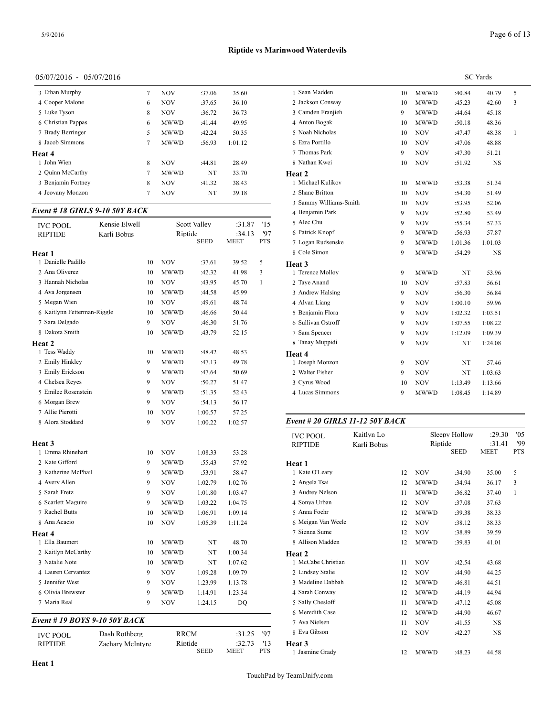| 3 Ethan Murphy     | 7 | <b>NOV</b>  | :37.06 | 35.60   | 1 Sea  |
|--------------------|---|-------------|--------|---------|--------|
| 4 Cooper Malone    | 6 | <b>NOV</b>  | :37.65 | 36.10   | 2 Jacl |
| 5 Luke Tyson       | 8 | <b>NOV</b>  | :36.72 | 36.73   | 3 Car  |
| 6 Christian Pappas | 6 | <b>MWWD</b> | :41.44 | 49.95   | 4 Ant  |
| 7 Brady Berringer  | 5 | <b>MWWD</b> | :42.24 | 50.35   | 5 Noa  |
| 8 Jacob Simmons    | 7 | <b>MWWD</b> | :56.93 | 1:01.12 | 6 Ezr  |
| Heat 4             |   |             |        |         | 7 Tho  |
| 1 John Wien        | 8 | <b>NOV</b>  | :44.81 | 28.49   | 8 Nat  |
| 2 Ouinn McCarthy   | 7 | <b>MWWD</b> | NT     | 33.70   | Heat 2 |
| 3 Benjamin Fortney | 8 | <b>NOV</b>  | :41.32 | 38.43   | 1 Mic  |
| 4 Jeovany Monzon   | 7 | <b>NOV</b>  | NT     | 39.18   | 2 Sha  |
|                    |   |             |        |         | 2.01   |

#### *Event # 18 GIRLS 9-10 50Y BACK*

| <b>IVC POOL</b>               | Kensie Elwell    |    |             | Scott Valley | :31.87      | '15          | 5 Alec Chu         |
|-------------------------------|------------------|----|-------------|--------------|-------------|--------------|--------------------|
| <b>RIPTIDE</b>                | Karli Bobus      |    | Riptide     |              | :34.13      | '97          | 6 Patrick Knopf    |
|                               |                  |    |             | <b>SEED</b>  | <b>MEET</b> | <b>PTS</b>   | 7 Logan Rudsensk   |
| Heat 1                        |                  |    |             |              |             |              | 8 Cole Simon       |
| 1 Danielle Padillo            |                  | 10 | <b>NOV</b>  | :37.61       | 39.52       | 5            | Heat 3             |
| 2 Ana Oliverez                |                  | 10 | MWWD        | :42.32       | 41.98       | 3            | 1 Terence Molloy   |
| 3 Hannah Nicholas             |                  | 10 | <b>NOV</b>  | :43.95       | 45.70       | $\mathbf{1}$ | 2 Taye Anand       |
| 4 Ava Jorgensen               |                  | 10 | <b>MWWD</b> | :44.58       | 45.99       |              | 3 Andrew Halsing   |
| 5 Megan Wien                  |                  | 10 | NOV         | :49.61       | 48.74       |              | 4 Alvan Liang      |
| 6 Kaitlynn Fetterman-Riggle   |                  | 10 | MWWD        | :46.66       | 50.44       |              | 5 Benjamin Flora   |
| 7 Sara Delgado                |                  | 9  | NOV         | :46.30       | 51.76       |              | 6 Sullivan Ostroff |
| 8 Dakota Smith                |                  | 10 | <b>MWWD</b> | :43.79       | 52.15       |              | 7 Sam Spencer      |
| Heat 2                        |                  |    |             |              |             |              | 8 Tanay Muppidi    |
| 1 Tess Waddy                  |                  | 10 | MWWD        | :48.42       | 48.53       |              | Heat 4             |
| 2 Emily Hinkley               |                  | 9  | <b>MWWD</b> | :47.13       | 49.78       |              | 1 Joseph Monzon    |
| 3 Emily Erickson              |                  | 9  | <b>MWWD</b> | :47.64       | 50.69       |              | 2 Walter Fisher    |
| 4 Chelsea Reyes               |                  | 9  | <b>NOV</b>  | :50.27       | 51.47       |              | 3 Cyrus Wood       |
| 5 Emilee Rosenstein           |                  | 9  | <b>MWWD</b> | :51.35       | 52.43       |              | 4 Lucas Simmons    |
| 6 Morgan Brew                 |                  | 9  | <b>NOV</b>  | :54.13       | 56.17       |              |                    |
| 7 Allie Pierotti              |                  | 10 | <b>NOV</b>  | 1:00.57      | 57.25       |              |                    |
| 8 Alora Stoddard              |                  | 9  | NOV         | 1:00.22      | 1:02.57     |              | Event # 20 GIRI    |
|                               |                  |    |             |              |             |              | <b>IVC POOL</b>    |
| <b>Heat 3</b>                 |                  |    |             |              |             |              | <b>RIPTIDE</b>     |
| 1 Emma Rhinehart              |                  | 10 | NOV         | 1:08.33      | 53.28       |              |                    |
| 2 Kate Gifford                |                  | 9  | MWWD        | :55.43       | 57.92       |              | Heat 1             |
| 3 Katherine McPhail           |                  | 9  | MWWD        | :53.91       | 58.47       |              | 1 Kate O'Leary     |
| 4 Avery Allen                 |                  | 9  | <b>NOV</b>  | 1:02.79      | 1:02.76     |              | 2 Angela Tsai      |
| 5 Sarah Fretz                 |                  | 9  | <b>NOV</b>  | 1:01.80      | 1:03.47     |              | 3 Audrey Nelson    |
| 6 Scarlett Maguire            |                  | 9  | <b>MWWD</b> | 1:03.22      | 1:04.75     |              | 4 Sonya Urban      |
| 7 Rachel Butts                |                  | 10 | <b>MWWD</b> | 1:06.91      | 1:09.14     |              | 5 Anna Foehr       |
| 8 Ana Acacio                  |                  | 10 | <b>NOV</b>  | 1:05.39      | 1:11.24     |              | 6 Meigan Van We    |
| Heat 4                        |                  |    |             |              |             |              | 7 Sienna Sume      |
| 1 Ella Baumert                |                  | 10 | <b>MWWD</b> | NT           | 48.70       |              | 8 Allison Madden   |
| 2 Kaitlyn McCarthy            |                  | 10 | MWWD        | NT           | 1:00.34     |              | Heat 2             |
| 3 Natalie Note                |                  | 10 | MWWD        | NT           | 1:07.62     |              | 1 McCabe Christia  |
| 4 Lauren Cervantez            |                  | 9  | <b>NOV</b>  | 1:09.28      | 1:09.79     |              | 2 Lindsey Stalie   |
| 5 Jennifer West               |                  | 9  | <b>NOV</b>  | 1:23.99      | 1:13.78     |              | 3 Madeline Dabba   |
| 6 Olivia Brewster             |                  | 9  | <b>MWWD</b> | 1:14.91      | 1:23.34     |              | 4 Sarah Conway     |
| 7 Maria Real                  |                  | 9  | <b>NOV</b>  | 1:24.15      | DQ          |              | 5 Sally Chesloff   |
|                               |                  |    |             |              |             |              | 6 Meredith Case    |
| Event # 19 BOYS 9-10 50Y BACK |                  |    |             |              |             |              | 7 Ava Nielsen      |
| <b>IVC POOL</b>               | Dash Rothberg    |    | <b>RRCM</b> |              | :31.25      | 97           | 8 Eva Gibson       |
| <b>RIPTIDE</b>                | Zachary McIntyre |    | Riptide     |              | :32.73      | '13          | Heat 3             |
|                               |                  |    |             | <b>SEED</b>  | MEET        | PTS          | 1 Iasmine Grady    |

|                        | <b>SC</b> Yards |             |         |         |   |  |  |  |
|------------------------|-----------------|-------------|---------|---------|---|--|--|--|
| 1 Sean Madden          | 10              | <b>MWWD</b> | :40.84  | 40.79   | 5 |  |  |  |
| 2 Jackson Conway       | 10              | <b>MWWD</b> | :45.23  | 42.60   | 3 |  |  |  |
| 3 Camden Franjieh      | 9               | <b>MWWD</b> | :44.64  | 45.18   |   |  |  |  |
| 4 Anton Bogak          | 10              | <b>MWWD</b> | :50.18  | 48.36   |   |  |  |  |
| 5 Noah Nicholas        | 10              | <b>NOV</b>  | :47.47  | 48.38   | 1 |  |  |  |
| 6 Ezra Portillo        | 10              | <b>NOV</b>  | :47.06  | 48.88   |   |  |  |  |
| 7 Thomas Park          | 9               | <b>NOV</b>  | :47.30  | 51.21   |   |  |  |  |
| 8 Nathan Kwei          | 10              | <b>NOV</b>  | :51.92  | NS      |   |  |  |  |
| <b>Heat 2</b>          |                 |             |         |         |   |  |  |  |
| 1 Michael Kulikov      | 10              | <b>MWWD</b> | :53.38  | 51.34   |   |  |  |  |
| 2 Shane Britton        | 10              | <b>NOV</b>  | :54.30  | 51.49   |   |  |  |  |
| 3 Sammy Williams-Smith | 10              | <b>NOV</b>  | :53.95  | 52.06   |   |  |  |  |
| 4 Benjamin Park        | 9               | <b>NOV</b>  | :52.80  | 53.49   |   |  |  |  |
| 5 Alec Chu             | 9               | <b>NOV</b>  | :55.34  | 57.33   |   |  |  |  |
| 6 Patrick Knopf        | 9               | <b>MWWD</b> | :56.93  | 57.87   |   |  |  |  |
| 7 Logan Rudsenske      | 9               | <b>MWWD</b> | 1:01.36 | 1:01.03 |   |  |  |  |
| 8 Cole Simon           | 9               | <b>MWWD</b> | :54.29  | NS      |   |  |  |  |
| <b>Heat 3</b>          |                 |             |         |         |   |  |  |  |
| 1 Terence Molloy       | 9               | <b>MWWD</b> | NT      | 53.96   |   |  |  |  |
| 2 Taye Anand           | 10              | <b>NOV</b>  | :57.83  | 56.61   |   |  |  |  |
| 3 Andrew Halsing       | 9               | <b>NOV</b>  | :56.30  | 56.84   |   |  |  |  |
| 4 Alvan Liang          | 9               | <b>NOV</b>  | 1:00.10 | 59.96   |   |  |  |  |
| 5 Benjamin Flora       | 9               | <b>NOV</b>  | 1:02.32 | 1:03.51 |   |  |  |  |
| 6 Sullivan Ostroff     | 9               | <b>NOV</b>  | 1:07.55 | 1:08.22 |   |  |  |  |
| 7 Sam Spencer          | 9               | <b>NOV</b>  | 1:12.09 | 1:09.39 |   |  |  |  |
| 8 Tanay Muppidi        | 9               | <b>NOV</b>  | NT      | 1:24.08 |   |  |  |  |
| Heat 4                 |                 |             |         |         |   |  |  |  |
| 1 Joseph Monzon        | 9               | <b>NOV</b>  | NT      | 57.46   |   |  |  |  |
| 2 Walter Fisher        | 9               | <b>NOV</b>  | NT      | 1:03.63 |   |  |  |  |
| 3 Cyrus Wood           | 10              | <b>NOV</b>  | 1:13.49 | 1:13.66 |   |  |  |  |
| 4 Lucas Simmons        | 9               | <b>MWWD</b> | 1:08.45 | 1:14.89 |   |  |  |  |

#### *Event # 20 GIRLS 11-12 50Y BACK*

| <b>SEED</b><br><b>MEET</b><br><b>PTS</b>                                |
|-------------------------------------------------------------------------|
|                                                                         |
| Heat 1                                                                  |
| 1 Kate O'Leary<br>5<br>12<br><b>NOV</b><br>35.00<br>:34.90              |
| 2 Angela Tsai<br><b>MWWD</b><br>3<br>12<br>:34.94<br>36.17              |
| 3 Audrey Nelson<br>11<br><b>MWWD</b><br>$\mathbf{1}$<br>:36.82<br>37.40 |
| 4 Sonya Urban<br><b>NOV</b><br>12<br>:37.08<br>37.63                    |
| 5 Anna Foehr<br>12<br><b>MWWD</b><br>38.33<br>:39.38                    |
| 6 Meigan Van Weele<br><b>NOV</b><br>12<br>:38.12<br>38.33               |
| 7 Sienna Sume<br>12<br><b>NOV</b><br>:38.89<br>39.59                    |
| 8 Allison Madden<br>12<br><b>MWWD</b><br>41.01<br>:39.83                |
| Heat 2                                                                  |
| 1 McCabe Christian<br>43.68<br>11<br><b>NOV</b><br>:42.54               |
| 2 Lindsey Stalie<br>12<br><b>NOV</b><br>44.25<br>:44.90                 |
| 3 Madeline Dabbah<br>12<br><b>MWWD</b><br>:46.81<br>44.51               |
| 4 Sarah Conway<br><b>MWWD</b><br>12<br>44.94<br>:44.19                  |
| 5 Sally Chesloff<br><b>MWWD</b><br>11<br>:47.12<br>45.08                |
| 6 Meredith Case<br>12<br><b>MWWD</b><br>:44.90<br>46.67                 |
| 7 Ava Nielsen<br>11<br><b>NOV</b><br>NS<br>:41.55                       |
| 8 Eva Gibson<br>12<br><b>NOV</b><br>:42.27<br><b>NS</b>                 |
| Heat 3                                                                  |
| 1 Jasmine Grady<br><b>MWWD</b><br>:48.23<br>12<br>44.58                 |

**MEET**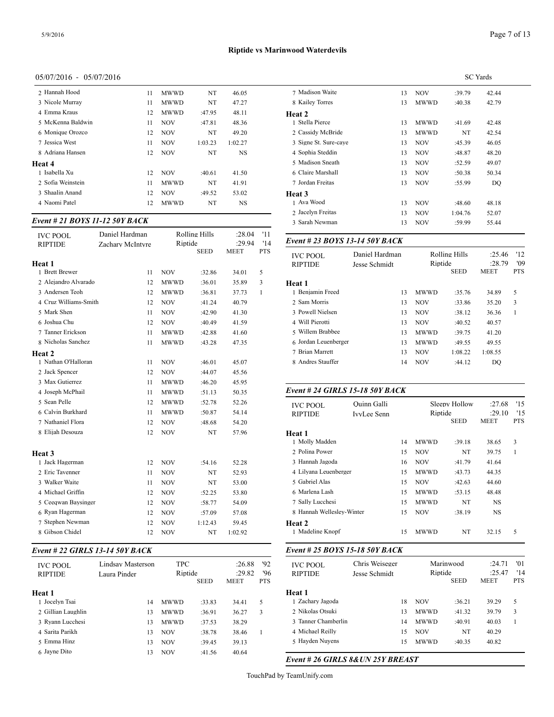| 2 Hannah Hood     | 11 | <b>MWWD</b> | NT      | 46.05     | 7 Madis       |
|-------------------|----|-------------|---------|-----------|---------------|
| 3 Nicole Murray   | 11 | <b>MWWD</b> | NT      | 47.27     | 8 Kailey      |
| 4 Emma Kraus      | 12 | <b>MWWD</b> | :47.95  | 48.11     | <b>Heat 2</b> |
| 5 McKenna Baldwin | 11 | <b>NOV</b>  | :47.81  | 48.36     | 1 Stella      |
| 6 Monique Orozco  | 12 | <b>NOV</b>  | NT      | 49.20     | 2 Cassid      |
| 7 Jessica West    | 11 | <b>NOV</b>  | 1:03.23 | 1:02.27   | 3 Signe       |
| 8 Adriana Hansen  | 12 | <b>NOV</b>  | NT      | <b>NS</b> | 4 Sophia      |
| Heat 4            |    |             |         |           | 5 Madis       |
| 1 Isabella Xu     | 12 | <b>NOV</b>  | :40.61  | 41.50     | 6 Claire      |
| 2 Sofia Weinstein | 11 | <b>MWWD</b> | NT      | 41.91     | 7 Jordan      |
| 3 Shaalin Anand   | 12 | <b>NOV</b>  | :49.52  | 53.02     | Heat 3        |
| 4 Naomi Patel     | 12 | <b>MWWD</b> | NT      | NS        | 1 Ava W       |
|                   |    |             |         |           |               |

### *Event # 21 BOYS 11-12 50Y BACK*

| <b>IVC POOL</b><br><b>RIPTIDE</b> | Daniel Hardman<br>Zachary McIntyre | Riptide     | Rolling Hills         | :28.04<br>:29.94     | '11<br>'14      | Event # 23 BOYS 13-14 50Y BACK<br>Daniel Hardman<br><b>IVC POOL</b><br><b>RIPTIDE</b><br>Jesse Schmidt |                    |         |                                         |               |                               |
|-----------------------------------|------------------------------------|-------------|-----------------------|----------------------|-----------------|--------------------------------------------------------------------------------------------------------|--------------------|---------|-----------------------------------------|---------------|-------------------------------|
| Heat 1<br>1 Brett Brewer          | 11                                 | <b>NOV</b>  | <b>SEED</b><br>:32.86 | <b>MEET</b><br>34.01 | <b>PTS</b><br>5 |                                                                                                        |                    |         | Rolling Hills<br>Riptide<br><b>SEED</b> |               | :25.4<br>:28.7<br><b>MEET</b> |
| 2 Alejandro Alvarado              | 12                                 | <b>MWWD</b> | :36.01                | 35.89                | 3               | Heat 1                                                                                                 |                    |         |                                         |               |                               |
| 3 Andersen Teoh                   | 12                                 | <b>MWWD</b> | :36.81                | 37.73                | $\mathbf{1}$    | 1 Benjamin Freed                                                                                       |                    | 13      | <b>MWWD</b>                             | :35.76        | 34.89                         |
| 4 Cruz Williams-Smith             | 12                                 | <b>NOV</b>  | :41.24                | 40.79                |                 | 2 Sam Morris                                                                                           |                    | 13      | <b>NOV</b>                              | :33.86        | 35.20                         |
| 5 Mark Shen                       | 11                                 | <b>NOV</b>  | :42.90                | 41.30                |                 | 3 Powell Nielsen                                                                                       |                    | 13      | <b>NOV</b>                              | :38.12        | 36.36                         |
| 6 Joshua Chu                      | 12                                 | <b>NOV</b>  | :40.49                | 41.59                |                 | 4 Will Pierotti                                                                                        |                    | 13      | <b>NOV</b>                              | :40.52        | 40.57                         |
| 7 Tanner Erickson                 | 11                                 | <b>MWWD</b> | :42.88                | 41.60                |                 | 5 Willem Brabbee                                                                                       |                    | 13      | <b>MWWD</b>                             | :39.75        | 41.20                         |
| 8 Nicholas Sanchez                | 11                                 | <b>MWWD</b> | :43.28                | 47.35                |                 | 6 Jordan Leuenberger                                                                                   |                    | 13      | <b>MWWD</b>                             | :49.55        | 49.55                         |
| <b>Heat 2</b>                     |                                    |             |                       |                      |                 | 7 Brian Marrett                                                                                        |                    | 13      | <b>NOV</b>                              | 1:08.22       | 1:08.55                       |
| 1 Nathan O'Halloran               | 11                                 | <b>NOV</b>  | :46.01                | 45.07                |                 | 8 Andres Stauffer                                                                                      |                    | 14      | <b>NOV</b>                              | :44.12        | <b>DQ</b>                     |
| 2 Jack Spencer                    | 12                                 | <b>NOV</b>  | :44.07                | 45.56                |                 |                                                                                                        |                    |         |                                         |               |                               |
| 3 Max Gutierrez                   | 11                                 | <b>MWWD</b> | :46.20                | 45.95                |                 |                                                                                                        |                    |         |                                         |               |                               |
| 4 Joseph McPhail                  | 11                                 | <b>MWWD</b> | :51.13                | 50.35                |                 | Event # 24 GIRLS 15-18 50Y BACK                                                                        |                    |         |                                         |               |                               |
| 5 Sean Pelle                      | 12                                 | <b>MWWD</b> | :52.78                | 52.26                |                 | Ouinn Galli<br><b>IVC POOL</b>                                                                         |                    |         |                                         | Sleepy Hollow | :27.6                         |
| 6 Calvin Burkhard                 | 11                                 | <b>MWWD</b> | :50.87                | 54.14                |                 | <b>RIPTIDE</b>                                                                                         | <b>IvvLee Senn</b> | Riptide |                                         |               | :29.1                         |
| 7 Nathaniel Flora                 | 12                                 | <b>NOV</b>  | :48.68                | 54.20                |                 |                                                                                                        |                    |         |                                         | <b>SEED</b>   | <b>MEET</b>                   |
| 8 Elijah Desouza                  | 12                                 | <b>NOV</b>  | NT                    | 57.96                |                 | Heat 1                                                                                                 |                    |         |                                         |               |                               |
|                                   |                                    |             |                       |                      |                 | 1 Molly Madden                                                                                         |                    | 14      | <b>MWWD</b>                             | :39.18        | 38.65                         |
| <b>Heat 3</b>                     |                                    |             |                       |                      |                 | 2 Polina Power                                                                                         |                    | 15      | <b>NOV</b>                              | NT            | 39.75                         |
| 1 Jack Hagerman                   | 12                                 | <b>NOV</b>  | :54.16                | 52.28                |                 | 3 Hannah Jagoda                                                                                        |                    | 16      | <b>NOV</b>                              | :41.79        | 41.64                         |
| 2 Eric Tavenner                   | 11                                 | <b>NOV</b>  | NT                    | 52.93                |                 | 4 Lilyana Leuenberger                                                                                  |                    | 15      | <b>MWWD</b>                             | :43.73        | 44.35                         |
| 3 Walker Waite                    | 11                                 | <b>NOV</b>  | NT                    | 53.00                |                 | 5 Gabriel Alas                                                                                         |                    | 15      | <b>NOV</b>                              | :42.63        | 44.60                         |
| 4 Michael Griffin                 | 12                                 | <b>NOV</b>  | :52.25                | 53.80                |                 | 6 Marlena Lash                                                                                         |                    | 15      | <b>MWWD</b>                             | :53.15        | 48.48                         |
| 5 Ceeqwan Baysinger               | 12                                 | <b>NOV</b>  | :58.77                | 54.09                |                 | 7 Sally Lucchesi                                                                                       |                    | 15      | <b>MWWD</b>                             | NT            | <b>NS</b>                     |
| 6 Ryan Hagerman                   | 12                                 | <b>NOV</b>  | :57.09                | 57.08                |                 | 8 Hannah Wellesley-Winter                                                                              |                    | 15      | <b>NOV</b>                              | :38.19        | <b>NS</b>                     |
| 7 Stephen Newman                  | 12                                 | <b>NOV</b>  | 1:12.43               | 59.45                |                 | Heat <sub>2</sub>                                                                                      |                    |         |                                         |               |                               |
| 8 Gibson Chidel                   | 12                                 | <b>NOV</b>  | NT                    | 1:02.92              |                 | 1 Madeline Knopf                                                                                       |                    | 15      | <b>MWWD</b>                             | NT            | 32.15                         |
|                                   |                                    |             |                       |                      |                 |                                                                                                        |                    |         |                                         |               |                               |

# *Event # 22 GIRLS 13-14 50Y BACK*

| <b>IVC POOL</b><br><b>RIPTIDE</b>      | Lindsay Masterson<br>Laura Pinder |                            |                  | :26.88<br>:29.82<br><b>MEET</b> | 92<br>'96<br><b>PTS</b> | <b>IVC POOL</b><br><b>RIPTIDE</b>    |  |
|----------------------------------------|-----------------------------------|----------------------------|------------------|---------------------------------|-------------------------|--------------------------------------|--|
| Heat 1                                 |                                   |                            | <b>SEED</b>      |                                 |                         | Heat 1                               |  |
| 1 Jocelyn Tsai                         | 14                                | <b>MWWD</b>                | :33.83           | 34.41                           | 5                       | 1 Zachary Jagoda                     |  |
| 2 Gillian Laughlin<br>3 Ryann Lucchesi | 13                                | <b>MWWD</b><br><b>MWWD</b> | :36.91           | 36.27                           | 3                       | 2 Nikolas Otsuki<br>3 Tanner Chamber |  |
| 4 Sarita Parikh                        | 13<br>13                          | <b>NOV</b>                 | :37.53<br>:38.78 | 38.29<br>38.46                  |                         | 4 Michael Reilly                     |  |
| 5 Emma Hinz                            | 13                                | <b>NOV</b>                 | :39.45           | 39.13                           |                         | 5 Hayden Nuyens                      |  |
| 6 Jayne Dito                           | 13                                | <b>NOV</b>                 | :41.56           | 40.64                           |                         |                                      |  |

|                       |    |             | <b>SC</b> Yards |       |  |
|-----------------------|----|-------------|-----------------|-------|--|
| 7 Madison Waite       | 13 | <b>NOV</b>  | :39.79          | 42.44 |  |
| 8 Kailey Torres       | 13 | <b>MWWD</b> | :40.38          | 42.79 |  |
| Heat 2                |    |             |                 |       |  |
| 1 Stella Pierce       | 13 | <b>MWWD</b> | :41.69          | 42.48 |  |
| 2 Cassidy McBride     | 13 | <b>MWWD</b> | NT              | 42.54 |  |
| 3 Signe St. Sure-caye | 13 | <b>NOV</b>  | :45.39          | 46.05 |  |
| 4 Sophia Steddin      | 13 | <b>NOV</b>  | :48.87          | 48.20 |  |
| 5 Madison Sneath      | 13 | <b>NOV</b>  | :52.59          | 49.07 |  |
| 6 Claire Marshall     | 13 | <b>NOV</b>  | :50.38          | 50.34 |  |
| 7 Jordan Freitas      | 13 | <b>NOV</b>  | :55.99          | DQ    |  |
| Heat 3                |    |             |                 |       |  |
| 1 Ava Wood            | 13 | <b>NOV</b>  | :48.60          | 48.18 |  |
| 2 Jacelyn Freitas     | 13 | <b>NOV</b>  | 1:04.76         | 52.07 |  |
| 3 Sarah Newman        | 13 | <b>NOV</b>  | :59.99          | 55.44 |  |
|                       |    |             |                 |       |  |

| <b>IVC POOL</b><br><b>RIPTIDE</b> | Daniel Hardman<br>Jesse Schmidt | Rolling Hills<br>Riptide<br><b>SEED</b> |         | :25.46<br>:28.79<br><b>MEET</b> | '12<br>'09<br><b>PTS</b> |
|-----------------------------------|---------------------------------|-----------------------------------------|---------|---------------------------------|--------------------------|
| Heat 1                            |                                 |                                         |         |                                 |                          |
| 1 Benjamin Freed                  | 13                              | <b>MWWD</b>                             | :35.76  | 34.89                           | 5                        |
| 2 Sam Morris                      | 13                              | <b>NOV</b>                              | :33.86  | 35.20                           | 3                        |
| 3 Powell Nielsen                  | 13                              | <b>NOV</b>                              | :38.12  | 36.36                           |                          |
| 4 Will Pierotti                   | 13                              | <b>NOV</b>                              | :40.52  | 40.57                           |                          |
| 5 Willem Brabbee                  | 13                              | <b>MWWD</b>                             | :39.75  | 41.20                           |                          |
| 6 Jordan Leuenberger              | 13                              | <b>MWWD</b>                             | :49.55  | 49.55                           |                          |
| 7 Brian Marrett                   | 13                              | <b>NOV</b>                              | 1:08.22 | 1:08.55                         |                          |
| 8 Andres Stauffer                 | 14                              | NOV                                     | :44.12  | DO                              |                          |
|                                   |                                 |                                         |         |                                 |                          |

### *Event # 24 GIRLS 15-18 50Y BACK*

| <b>IVC POOL</b><br><b>RIPTIDE</b> | Ouinn Galli<br><b>IvvLee Senn</b> |    | Riptide     | Sleepy Hollow<br><b>SEED</b> | :27.68<br>:29.10<br><b>MEET</b> | '15<br>'15<br><b>PTS</b> |
|-----------------------------------|-----------------------------------|----|-------------|------------------------------|---------------------------------|--------------------------|
| Heat 1                            |                                   |    |             |                              |                                 |                          |
| 1 Molly Madden                    |                                   | 14 | <b>MWWD</b> | :39.18                       | 38.65                           | 3                        |
| 2 Polina Power                    |                                   | 15 | <b>NOV</b>  | NT                           | 39.75                           | 1                        |
| 3 Hannah Jagoda                   |                                   | 16 | <b>NOV</b>  | :41.79                       | 41.64                           |                          |
| 4 Lilyana Leuenberger             |                                   | 15 | <b>MWWD</b> | :43.73                       | 44.35                           |                          |
| 5 Gabriel Alas                    |                                   | 15 | <b>NOV</b>  | :42.63                       | 44.60                           |                          |
| 6 Marlena Lash                    |                                   | 15 | <b>MWWD</b> | :53.15                       | 48.48                           |                          |
| 7 Sally Lucchesi                  |                                   | 15 | <b>MWWD</b> | NT                           | <b>NS</b>                       |                          |
| 8 Hannah Wellesley-Winter         |                                   | 15 | <b>NOV</b>  | :38.19                       | <b>NS</b>                       |                          |
| <b>Heat 2</b><br>1 Madeline Knopf |                                   | 15 | <b>MWWD</b> | NT                           | 32.15                           | 5                        |
| Event # 25 BOYS 15-18 50Y BACK    |                                   |    |             |                              |                                 |                          |
| <b>IVC POOL</b>                   | Chris Weiseger                    |    |             | Marinwood                    | :24.71                          | '01                      |
| <b>RIPTIDE</b>                    | Jesse Schmidt                     |    | Riptide     | <b>SEED</b>                  | :25.47<br><b>MEET</b>           | '14<br><b>PTS</b>        |
| Heat 1                            |                                   |    |             |                              |                                 |                          |
| 1 Zachary Jagoda                  |                                   | 18 | <b>NOV</b>  | :36.21                       | 39.29                           | 5                        |
| 2 Nikolas Otsuki                  |                                   | 13 | <b>MWWD</b> | :41.32                       | 39.79                           | 3                        |
| 3 Tanner Chamberlin               |                                   | 14 | <b>MWWD</b> | :40.91                       | 40.03                           | $\mathbf{1}$             |
| 4 Michael Reilly                  |                                   | 15 | <b>NOV</b>  | NT                           | 40.29                           |                          |
| 5 Hayden Nuyens                   |                                   | 15 | <b>MWWD</b> | :40.35                       | 40.82                           |                          |

### *Event # 26 GIRLS 8&UN 25Y BREAST*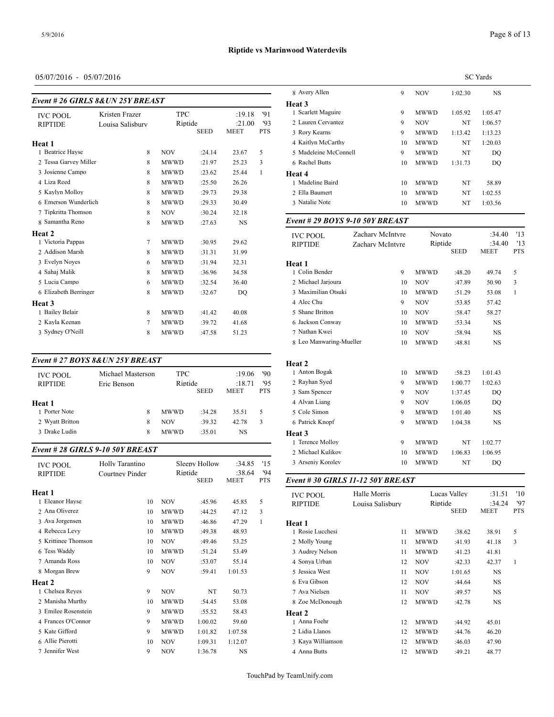# **Riptide vs Marinwood Waterdevils**

# 05/07/2016 - 05/07/2016

| Event # 26 GIRLS 8& UN 25Y BREAST |             |             |                       |            |                         |                           |                                                          |             |                   |
|-----------------------------------|-------------|-------------|-----------------------|------------|-------------------------|---------------------------|----------------------------------------------------------|-------------|-------------------|
| Kristen Frazer                    |             |             |                       | '91        | <b>Scarlett Maguire</b> | 9                         | <b>MWWD</b>                                              | 1:05.92     | 1:05.47           |
| Louisa Salisbury                  |             |             |                       | 93         | 2 Lauren Cervantez      | 9                         | <b>NOV</b>                                               | NT          | 1:06.57           |
|                                   |             | <b>SEED</b> | <b>MEET</b>           | <b>PTS</b> | 3 Rory Kearns           | 9                         | <b>MWWD</b>                                              | 1:13.42     | 1:13.23           |
|                                   |             |             |                       |            | 4 Kaitlyn McCarthy      | 10                        | <b>MWWD</b>                                              | NT          | 1:20.03           |
| 8                                 | <b>NOV</b>  | :24.14      | 23.67                 | 5          |                         | 9                         | <b>MWWD</b>                                              | NT          | DQ                |
| 2 Tessa Garvey Miller<br>8        | <b>MWWD</b> | :21.97      | 25.23                 | 3          | 6 Rachel Butts          | 10                        | <b>MWWD</b>                                              | 1:31.73     | DQ                |
| 8                                 | <b>MWWD</b> | :23.62      | 25.44                 |            | Heat 4                  |                           |                                                          |             |                   |
| 8                                 | <b>MWWD</b> | :25.50      | 26.26                 |            | 1 Madeline Baird        | 10                        | <b>MWWD</b>                                              | NT          | 58.89             |
| 8                                 | <b>MWWD</b> | :29.73      | 29.38                 |            | 2 Ella Baumert          | 10                        | <b>MWWD</b>                                              | NT          | 1:02.55           |
| 6 Emerson Wunderlich<br>8         | <b>MWWD</b> | :29.33      | 30.49                 |            | 3 Natalie Note          | 10                        | <b>MWWD</b>                                              | NT          | 1:03.56           |
| 7 Tipkritta Thomson<br>8          | <b>NOV</b>  | :30.24      | 32.18                 |            |                         |                           |                                                          |             |                   |
| 8                                 | <b>MWWD</b> | :27.63      | <b>NS</b>             |            |                         |                           |                                                          |             |                   |
|                                   |             |             |                       |            |                         | Zachary McIntyre          |                                                          |             | :34.              |
| 7                                 | <b>MWWD</b> | :30.95      | 29.62                 |            | <b>RIPTIDE</b>          | Zachary McIntyre          |                                                          |             | :34.              |
| 8                                 | <b>MWWD</b> | :31.31      | 31.99                 |            |                         |                           |                                                          | <b>SEED</b> | <b>MEET</b>       |
| 6                                 | <b>MWWD</b> | :31.94      | 32.31                 |            | Heat 1                  |                           |                                                          |             |                   |
| 8                                 | <b>MWWD</b> | :36.96      | 34.58                 |            | 1 Colin Bender          | 9                         | <b>MWWD</b>                                              | :48.20      | 49.74             |
| 6                                 | <b>MWWD</b> | :32.54      | 36.40                 |            | 2 Michael Jarjoura      | 10                        | <b>NOV</b>                                               | :47.89      | 50.90             |
| 6 Elizabeth Berringer<br>8        | <b>MWWD</b> | :32.67      | DQ                    |            | 3 Maximilian Otsuki     | 10                        | <b>MWWD</b>                                              | :51.29      | 53.08             |
|                                   |             |             |                       |            | 4 Alec Chu              | 9                         | <b>NOV</b>                                               | :53.85      | 57.42             |
| 8                                 | <b>MWWD</b> | :41.42      | 40.08                 |            | 5 Shane Britton         | 10                        | <b>NOV</b>                                               | :58.47      | 58.27             |
|                                   | <b>MWWD</b> | :39.72      | 41.68                 |            | 6 Jackson Conway        | 10                        | <b>MWWD</b>                                              | :53.34      | <b>NS</b>         |
| 8                                 | <b>MWWD</b> | :47.58      | 51.23                 |            | 7 Nathan Kwei           | 10                        | <b>NOV</b>                                               | :58.94      | <b>NS</b>         |
|                                   |             |             | <b>TPC</b><br>Riptide |            | :19.18<br>:21.00        | Heat 3<br><b>IVC POOL</b> | 5 Madeleine McConnell<br>Event # 29 BOYS 9-10 50Y BREAST |             | Novato<br>Riptide |

#### *Event # 27 BOYS 8&UN 25Y BREAST*

| <b>IVC POOL</b> | Michael Masterson | <b>TPC</b>  |             | :19.06       | '90        | 1 Anton Bogak   |  |
|-----------------|-------------------|-------------|-------------|--------------|------------|-----------------|--|
| <b>RIPTIDE</b>  | Eric Benson       | Riptide     |             | 95<br>:18.71 |            | 2 Ravhan Sved   |  |
|                 |                   |             | <b>SEED</b> | <b>MEET</b>  | <b>PTS</b> | 3 Sam Spencer   |  |
| Heat 1          |                   |             |             |              |            | 4 Alvan Liang   |  |
| 1 Porter Note   | 8                 | <b>MWWD</b> | :34.28      | 35.51        | 5          | 5 Cole Simon    |  |
| 2 Wyatt Britton | 8                 | <b>NOV</b>  | :39.32      | 42.78        | 3          | 6 Patrick Knopf |  |
| 3 Drake Ludin   | 8                 | <b>MWWD</b> | :35.01      | <b>NS</b>    |            | Heat 3          |  |

# *Event # 28 GIRLS 9-10 50Y BREAST*

| Holly Tarantino |             |         | :34.85                   | '15        | 3 Arseniy Koroley |
|-----------------|-------------|---------|--------------------------|------------|-------------------|
| Courtney Pinder | <b>SEED</b> |         | <b>MEET</b>              | <b>PTS</b> | Event #30 GIRI    |
|                 |             |         |                          |            | <b>IVC POOL</b>   |
| 10              | <b>NOV</b>  | :45.96  | 45.85                    | 5          | <b>RIPTIDE</b>    |
| 10              | <b>MWWD</b> | :44.25  | 47.12                    | 3          |                   |
| 10              | <b>MWWD</b> | :46.86  | 47.29                    | 1          | Heat 1            |
| 10              | <b>MWWD</b> | :49.38  | 48.93                    |            | 1 Rosie Lucchesi  |
| 10              | <b>NOV</b>  | :49.46  | 53.25                    |            | 2 Molly Young     |
| 10              | <b>MWWD</b> | :51.24  | 53.49                    |            | 3 Audrey Nelson   |
| 10              | <b>NOV</b>  | :53.07  | 55.14                    |            | 4 Sonya Urban     |
| 9               | <b>NOV</b>  | :59.41  | 1:01.53                  |            | 5 Jessica West    |
|                 |             |         |                          |            | 6 Eva Gibson      |
| 9               | <b>NOV</b>  | NT      | 50.73                    |            | 7 Ava Nielsen     |
| 10              | <b>MWWD</b> | :54.45  | 53.08                    |            | 8 Zoe McDonougl   |
| 9               | <b>MWWD</b> | :55.52  | 58.43                    |            | Heat 2            |
| 9               | <b>MWWD</b> | 1:00.02 | 59.60                    |            | 1 Anna Foehr      |
| 9               | <b>MWWD</b> | 1:01.82 | 1:07.58                  |            | 2 Lidia Llanos    |
| 10              | <b>NOV</b>  | 1:09.31 | 1:12.07                  |            | 3 Kaya Williamso  |
| 9               | <b>NOV</b>  | 1:36.78 | NS                       |            | 4 Anna Butts      |
|                 |             |         | Sleepy Hollow<br>Riptide | :38.64     | '94               |

|                       |    |             |         | <b>SC</b> Yards |
|-----------------------|----|-------------|---------|-----------------|
| 8 Avery Allen         | 9  | <b>NOV</b>  | 1:02.30 | NS              |
| <b>Heat 3</b>         |    |             |         |                 |
| 1 Scarlett Maguire    | 9  | <b>MWWD</b> | 1:05.92 | 1:05.47         |
| 2 Lauren Cervantez    | 9  | <b>NOV</b>  | NT      | 1:06.57         |
| 3 Rory Kearns         | 9  | <b>MWWD</b> | 1:13.42 | 1:13.23         |
| 4 Kaitlyn McCarthy    | 10 | <b>MWWD</b> | NT      | 1:20.03         |
| 5 Madeleine McConnell | 9  | <b>MWWD</b> | NT      | DO              |
| 6 Rachel Butts        | 10 | <b>MWWD</b> | 1:31.73 | DQ              |
| Heat 4                |    |             |         |                 |
| 1 Madeline Baird      | 10 | <b>MWWD</b> | NT      | 58.89           |
| 2 Ella Baumert        | 10 | <b>MWWD</b> | NT      | 1:02.55         |
| 3 Natalie Note        | 10 | <b>MWWD</b> | NT      | 1:03.56         |
|                       |    |             |         |                 |

| <b>IVC POOL</b>         | Zachary McIntyre | Novato      |             | :34.40      | '13        |
|-------------------------|------------------|-------------|-------------|-------------|------------|
| <b>RIPTIDE</b>          | Zachary McIntyre | Riptide     |             | :34.40      | '13        |
|                         |                  |             | <b>SEED</b> | <b>MEET</b> | <b>PTS</b> |
| Heat 1                  |                  |             |             |             |            |
| 1 Colin Bender          | 9                | <b>MWWD</b> | :48.20      | 49.74       | 5          |
| 2 Michael Jarjoura      | 10               | <b>NOV</b>  | :47.89      | 50.90       | 3          |
| 3 Maximilian Otsuki     | 10               | <b>MWWD</b> | :51.29      | 53.08       | 1          |
| 4 Alec Chu              | 9                | <b>NOV</b>  | :53.85      | 57.42       |            |
| 5 Shane Britton         | 10               | <b>NOV</b>  | :58.47      | 58.27       |            |
| 6 Jackson Conway        | 10               | <b>MWWD</b> | :53.34      | <b>NS</b>   |            |
| 7 Nathan Kwei           | 10               | <b>NOV</b>  | :58.94      | <b>NS</b>   |            |
| 8 Leo Manwaring-Mueller | 10               | <b>MWWD</b> | :48.81      | <b>NS</b>   |            |
|                         |                  |             |             |             |            |
| Heat 2                  |                  |             |             |             |            |
| 1 Anton Bogak           | 10               | <b>MWWD</b> | :58.23      | 1:01.43     |            |
| 2 Rayhan Syed           | 9                | <b>MWWD</b> | 1:00.77     | 1:02.63     |            |
| 3 Sam Spencer           | 9                | <b>NOV</b>  | 1:37.45     | DO          |            |
| 4 Alvan Liang           | 9                | <b>NOV</b>  | 1:06.05     | DO          |            |
| 5 Cole Simon            | 9                | <b>MWWD</b> | 1:01.40     | <b>NS</b>   |            |
| 6 Patrick Knopf         | 9                | <b>MWWD</b> | 1:04.38     | <b>NS</b>   |            |
| Heat 3                  |                  |             |             |             |            |
| 1 Terence Molloy        | 9                | <b>MWWD</b> | NT          | 1:02.77     |            |
| 2 Michael Kulikov       | 10               | <b>MWWD</b> | 1:06.83     | 1:06.95     |            |
| 3 Arseniy Korolev       | 10               | <b>MWWD</b> | NT          | DQ          |            |
|                         |                  |             |             |             |            |

SEED MEET PTS *Event # 30 GIRLS 11-12 50Y BREAST*

| <b>IVC POOL</b><br><b>RIPTIDE</b> | Halle Morris<br>Louisa Salisbury | Riptide     | Lucas Valley<br>SEED | :31.51<br>:34.24<br><b>MEET</b> | '10<br>'97<br><b>PTS</b> |  |
|-----------------------------------|----------------------------------|-------------|----------------------|---------------------------------|--------------------------|--|
| Heat 1                            |                                  |             |                      |                                 |                          |  |
| 1 Rosie Lucchesi                  | 11                               | <b>MWWD</b> | :38.62               | 38.91                           | 5                        |  |
| 2 Molly Young                     | 11                               | <b>MWWD</b> | :41.93               | 41.18                           | 3                        |  |
| 3 Audrey Nelson                   | 11                               | <b>MWWD</b> | :41.23               | 41.81                           |                          |  |
| 4 Sonya Urban                     | 12                               | <b>NOV</b>  | :42.33               | 42.37                           | 1                        |  |
| 5 Jessica West                    | 11                               | <b>NOV</b>  | 1:01.65              | <b>NS</b>                       |                          |  |
| 6 Eva Gibson                      | 12                               | <b>NOV</b>  | :44.64               | NS                              |                          |  |
| 7 Ava Nielsen                     | 11                               | <b>NOV</b>  | :49.57               | <b>NS</b>                       |                          |  |
| 8 Zoe McDonough                   | 12                               | <b>MWWD</b> | :42.78               | NS                              |                          |  |
| <b>Heat 2</b>                     |                                  |             |                      |                                 |                          |  |
| 1 Anna Foehr                      | 12                               | <b>MWWD</b> | :44.92               | 45.01                           |                          |  |
| 2 Lidia Llanos                    | 12                               | <b>MWWD</b> | :44.76               | 46.20                           |                          |  |
| 3 Kaya Williamson                 | 12                               | <b>MWWD</b> | :46.03               | 47.90                           |                          |  |
| 4 Anna Butts                      | 12                               | <b>MWWD</b> | :49.21               | 48.77                           |                          |  |
|                                   |                                  |             |                      |                                 |                          |  |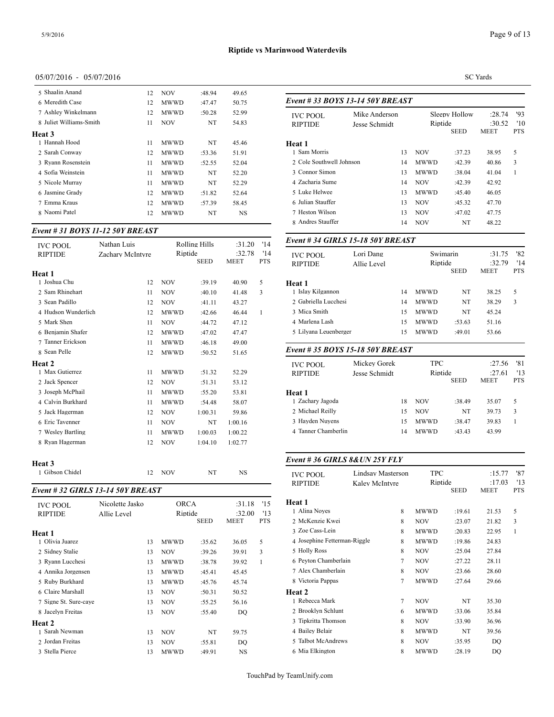*Event # 33 BOYS 13-14 50Y BREAST*

# 05/07/2016 - 05/07/2016

| 5 Shaalin Anand         | 12 | <b>NOV</b>  | :48.94 | 49.65     |               |
|-------------------------|----|-------------|--------|-----------|---------------|
| 6 Meredith Case         | 12 | <b>MWWD</b> | :47.47 | 50.75     | $Event#$ .    |
| 7 Ashley Winkelmann     | 12 | <b>MWWD</b> | :50.28 | 52.99     | <b>IVC PO</b> |
| 8 Juliet Williams-Smith | 11 | <b>NOV</b>  | NT     | 54.83     | <b>RIPTID</b> |
| Heat 3                  |    |             |        |           |               |
| 1 Hannah Hood           | 11 | MWWD        | NT     | 45.46     | Heat 1        |
| 2 Sarah Conway          | 12 | <b>MWWD</b> | :53.36 | 51.91     | 1 Sam N       |
| 3 Ryann Rosenstein      | 11 | <b>MWWD</b> | :52.55 | 52.04     | 2 Cole S      |
| 4 Sofia Weinstein       | 11 | <b>MWWD</b> | NT     | 52.20     | 3 Conno       |
| 5 Nicole Murray         | 11 | MWWD        | NT     | 52.29     | 4 Zachar      |
| 6 Jasmine Grady         | 12 | <b>MWWD</b> | :51.82 | 52.64     | 5 Luke I      |
| 7 Emma Kraus            | 12 | <b>MWWD</b> | :57.39 | 58.45     | 6 Julian      |
| 8 Naomi Patel           | 12 | <b>MWWD</b> | NT     | <b>NS</b> | 7 Hestor      |
|                         |    |             |        |           |               |

# *Event # 31 BOYS 11-12 50Y BREAST*

| <b>IVC POOL</b>     | Nathan Luis      |             | <b>Rolling Hills</b> | :31.20                | '14               | <i>ерені <del>п</del> эт</i> чілі |
|---------------------|------------------|-------------|----------------------|-----------------------|-------------------|-----------------------------------|
| <b>RIPTIDE</b>      | Zachary McIntyre | Riptide     | <b>SEED</b>          | :32.78<br><b>MEET</b> | '14<br><b>PTS</b> | <b>IVC POOL</b><br><b>RIPTIDE</b> |
| Heat 1              |                  |             |                      |                       |                   |                                   |
| 1 Joshua Chu        | 12               | <b>NOV</b>  | :39.19               | 40.90                 | 5                 | Heat 1                            |
| 2 Sam Rhinehart     | 11               | <b>NOV</b>  | :40.10               | 41.48                 | 3                 | 1 Islay Kilgannon                 |
| 3 Sean Padillo      | 12               | <b>NOV</b>  | :41.11               | 43.27                 |                   | 2 Gabriella Lucch                 |
| 4 Hudson Wunderlich | 12               | <b>MWWD</b> | :42.66               | 46.44                 | $\mathbf{1}$      | 3 Mica Smith                      |
| 5 Mark Shen         | 11               | <b>NOV</b>  | :44.72               | 47.12                 |                   | 4 Marlena Lash                    |
| 6 Benjamin Shafer   | 12               | <b>MWWD</b> | :47.02               | 47.47                 |                   | 5 Lilyana Leuenbe                 |
| 7 Tanner Erickson   | 11               | <b>MWWD</b> | :46.18               | 49.00                 |                   |                                   |
| 8 Sean Pelle        | 12               | <b>MWWD</b> | :50.52               | 51.65                 |                   | Event # 35 $BOY$                  |
| Heat 2              |                  |             |                      |                       |                   | <b>IVC POOL</b>                   |
| 1 Max Gutierrez     | 11               | <b>MWWD</b> | :51.32               | 52.29                 |                   | <b>RIPTIDE</b>                    |
| 2 Jack Spencer      | 12               | <b>NOV</b>  | :51.31               | 53.12                 |                   |                                   |
| 3 Joseph McPhail    | 11               | <b>MWWD</b> | :55.20               | 53.81                 |                   | Heat 1                            |
| 4 Calvin Burkhard   | 11               | <b>MWWD</b> | :54.48               | 58.07                 |                   | 1 Zachary Jagoda                  |
| 5 Jack Hagerman     | 12               | <b>NOV</b>  | 1:00.31              | 59.86                 |                   | 2 Michael Reilly                  |
| 6 Eric Tavenner     | 11               | <b>NOV</b>  | NT                   | 1:00.16               |                   | 3 Hayden Nuyens                   |
| 7 Wesley Bartling   | 11               | <b>MWWD</b> | 1:00.03              | 1:00.22               |                   | 4 Tanner Chamber                  |
| 8 Ryan Hagerman     | 12               | <b>NOV</b>  | 1:04.10              | 1:02.77               |                   |                                   |
| Heat 3              |                  |             |                      |                       |                   | Event #36 GIRI                    |
| 1 Gibson Chidel     | 12               | <b>NOV</b>  | NT                   | <b>NS</b>             |                   | <b>IVC POOL</b>                   |

#### *Event # 32 GIRLS 13-14 50Y BREAST*

| <b>IVC POOL</b><br><b>RIPTIDE</b> | Nicolette Jasko<br>Allie Level | <b>ORCA</b><br>Riptide |             | :31.18<br>:32.00 | '15<br>13  | Heat 1<br>1 Alina Noves |
|-----------------------------------|--------------------------------|------------------------|-------------|------------------|------------|-------------------------|
|                                   |                                |                        | <b>SEED</b> | MEET             | <b>PTS</b> | 2 McKenzie Kwei         |
| Heat 1                            |                                |                        |             |                  |            | 3 Zoe Cass-Lein         |
| 1 Olivia Juarez                   | 13                             | <b>MWWD</b>            | :35.62      | 36.05            | 5          | 4 Josephine Fetter      |
| 2 Sidney Stalie                   | 13                             | <b>NOV</b>             | :39.26      | 39.91            | 3          | 5 Holly Ross            |
| 3 Ryann Lucchesi                  | 13                             | <b>MWWD</b>            | :38.78      | 39.92            | 1          | 6 Peyton Chamber        |
| 4 Annika Jorgensen                | 13                             | <b>MWWD</b>            | :45.41      | 45.45            |            | 7 Alex Chamberla        |
| 5 Ruby Burkhard                   | 13                             | <b>MWWD</b>            | :45.76      | 45.74            |            | 8 Victoria Pappas       |
| 6 Claire Marshall                 | 13                             | <b>NOV</b>             | :50.31      | 50.52            |            | <b>Heat 2</b>           |
| 7 Signe St. Sure-caye             | 13                             | <b>NOV</b>             | :55.25      | 56.16            |            | 1 Rebecca Mark          |
| 8 Jacelyn Freitas                 | 13                             | <b>NOV</b>             | :55.40      | DO               |            | 2 Brooklyn Schlui       |
| Heat 2                            |                                |                        |             |                  |            | 3 Tipkritta Thoms       |
| 1 Sarah Newman                    | 13                             | <b>NOV</b>             | NT          | 59.75            |            | 4 Bailey Belair         |
| 2 Jordan Freitas                  | 13                             | <b>NOV</b>             | :55.81      | DQ               |            | 5 Talbot McAndre        |
| 3 Stella Pierce                   | 13                             | <b>MWWD</b>            | :49.91      | <b>NS</b>        |            | 6 Mia Elkington         |
|                                   |                                |                        |             |                  |            |                         |

Page 9 of 13

### SC Yards

| <b>IVC POOL</b>                   | Mike Anderson     |        |             | Sleepy Hollow | :28.74 | '93          |
|-----------------------------------|-------------------|--------|-------------|---------------|--------|--------------|
| RIPTIDE                           | Jesse Schmidt     |        | Riptide     |               | :30.52 | '10          |
|                                   |                   |        |             | SEED          | MEET   | <b>PTS</b>   |
| Heat 1                            |                   |        |             |               |        |              |
| 1 Sam Morris                      |                   | 13     | NOV         | :37.23        | 38.95  | 5            |
| 2 Cole Southwell Johnson          |                   | 14     | MWWD        | :42.39        | 40.86  | 3            |
| 3 Connor Simon                    |                   | 13     | MWWD        | :38.04        | 41.04  | 1            |
| 4 Zacharia Sume                   |                   | 14     | NOV         | :42.39        | 42.92  |              |
| 5 Luke Helwee                     |                   | 13     | <b>MWWD</b> | :45.40        | 46.05  |              |
| 6 Julian Stauffer                 |                   | 13     | NOV         | :45.32        | 47.70  |              |
| 7 Heston Wilson                   |                   | 13     | NOV         | :47.02        | 47.75  |              |
| 8 Andres Stauffer                 |                   | 14     | <b>NOV</b>  | NT            | 48.22  |              |
| Event # 34 GIRLS 15-18 50Y BREAST |                   |        |             |               |        |              |
| <b>IVC POOL</b>                   | Lori Dang         |        | Swimarin    |               | :31.75 | '82          |
| <b>RIPTIDE</b>                    | Allie Level       |        | Riptide     |               | :32.79 | '14          |
|                                   |                   |        |             | <b>SEED</b>   | MEET   | PTS          |
| Heat 1                            |                   |        |             |               |        |              |
| 1 Islay Kilgannon                 |                   | 14     | MWWD        | NT            | 38.25  | 5            |
| 2 Gabriella Lucchesi              |                   | 14     | MWWD        | NT            | 38.29  | 3            |
| 3 Mica Smith                      |                   | 15     | MWWD        | NT            | 45.24  |              |
| 4 Marlena Lash                    |                   | 15     | MWWD        | :53.63        | 51.16  |              |
| 5 Lilyana Leuenberger             |                   | 15     | MWWD        | :49.01        | 53.66  |              |
| Event # 35 BOYS 15-18 50Y BREAST  |                   |        |             |               |        |              |
|                                   | Mickey Gorek      |        | <b>TPC</b>  |               | :27.56 | '81          |
| <b>IVC POOL</b><br><b>RIPTIDE</b> | Jesse Schmidt     |        | Riptide     |               | :27.61 | '13          |
|                                   |                   |        |             | SEED          | MEET   | <b>PTS</b>   |
| Heat 1                            |                   |        |             |               |        |              |
| 1 Zachary Jagoda                  |                   | 18     | NOV         | :38.49        | 35.07  | 5            |
| 2 Michael Reilly                  |                   | 15     | NOV         | NT            | 39.73  | 3            |
| 3 Hayden Nuyens                   |                   | 15     | MWWD        | :38.47        | 39.83  | 1            |
| 4 Tanner Chamberlin               |                   | 14     | MWWD        | :43.43        | 43.99  |              |
|                                   |                   |        |             |               |        |              |
| Event #36 GIRLS 8& UN 25Y FLY     |                   |        |             |               |        |              |
| <b>IVC POOL</b>                   | Lindsay Masterson |        | <b>TPC</b>  |               | :15.77 | '87          |
| <b>RIPTIDE</b>                    | Kaley McIntyre    |        | Riptide     |               | :17.03 | '13          |
|                                   |                   |        |             | SEED          | MEET   | <b>PTS</b>   |
| Heat 1                            |                   |        |             |               |        |              |
| 1 Alina Noyes                     |                   | 8      | MWWD        | :19.61        | 21.53  | 5            |
| 2 McKenzie Kwei                   |                   | 8      | NOV         | :23.07        | 21.82  | 3            |
| 3 Zoe Cass-Lein                   |                   | 8      | MWWD        | :20.83        | 22.95  | $\mathbf{1}$ |
| 4 Josephine Fetterman-Riggle      |                   | 8      | MWWD        | :19.86        | 24.83  |              |
| 5 Holly Ross                      |                   | 8      | NOV         | :25.04        | 27.84  |              |
| 6 Peyton Chamberlain              |                   | $\tau$ | NOV         | :27.22        | 28.11  |              |
| 7 Alex Chamberlain                |                   | 8      | NOV         | :23.66        | 28.60  |              |
| 8 Victoria Pappas                 |                   | 7      | MWWD        | :27.64        | 29.66  |              |
| Heat 2                            |                   |        |             |               |        |              |
| 1 Rebecca Mark                    |                   | 7      | <b>NOV</b>  | NT            | 35.30  |              |
| 2 Brooklyn Schlunt                |                   | 6      | MWWD        | :33.06        | 35.84  |              |
| 3 Tipkritta Thomson               |                   | 8      | NOV         | :33.90        | 36.96  |              |
| 4 Bailey Belair                   |                   | 8      | <b>MWWD</b> | NT            | 39.56  |              |
| 5 Talbot McAndrews                |                   | 8      | NOV         | :35.95        | DQ     |              |
| 6 Mia Elkington                   |                   | 8      | MWWD        | :28.19        | DQ     |              |
|                                   |                   |        |             |               |        |              |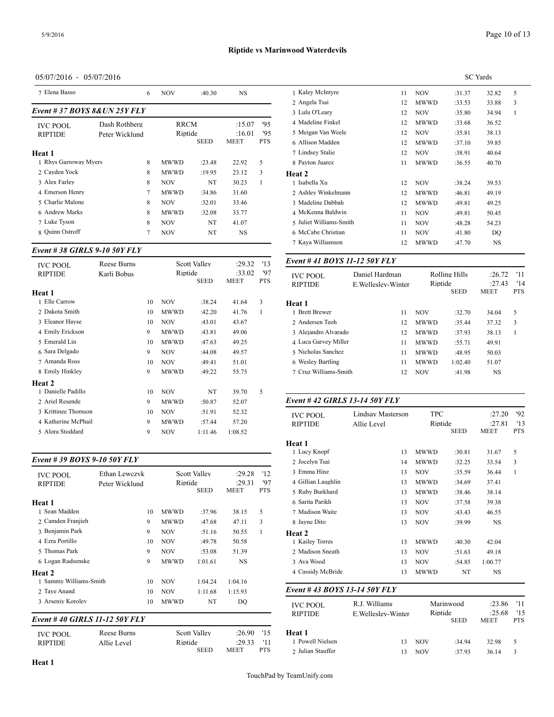| 7 Elena Basso<br><b>NOV</b><br><b>NS</b><br>6<br>:40.30                                                                         | 1 Kaley McIntyre                     |
|---------------------------------------------------------------------------------------------------------------------------------|--------------------------------------|
| Event # 37 BOYS 8& UN 25Y FLY                                                                                                   | 2 Angela Tsai<br>3 Lulu O'Leary      |
| '95<br>Dash Rothberg<br><b>RRCM</b><br>:15.07<br><b>IVC POOL</b><br>95<br>:16.01<br>Riptide<br><b>RIPTIDE</b><br>Peter Wicklund | 4 Madeline Finkel<br>5 Meigan Van We |
| <b>SEED</b><br><b>PTS</b><br><b>MEET</b><br>Heat 1                                                                              | 6 Allison Madden<br>7 Lindsey Stalie |
| 1 Rhys Garroway Myers<br>8<br>5<br><b>MWWD</b><br>:23.48<br>22.92                                                               | 8 Payton Juarez                      |
| 2 Cayden Yock<br>8<br>3<br><b>MWWD</b><br>23.12<br>:19.95                                                                       | Heat 2                               |
| 3 Alex Farley<br>8<br><b>NOV</b><br>NT<br>30.23                                                                                 | 1 Isabella Xu                        |
| 4 Emerson Henry<br>7<br><b>MWWD</b><br>31.60<br>:34.86                                                                          | 2 Ashley Winkeln                     |
| 5 Charlie Malone<br>8<br><b>NOV</b><br>:32.01<br>33.46                                                                          | 3 Madeline Dabba                     |
| 6 Andrew Marks<br>8<br><b>MWWD</b><br>33.77<br>:32.08                                                                           | 4 McKenna Baldv                      |
| 7 Luke Tyson<br>8<br><b>NOV</b><br>NT<br>41.07                                                                                  | 5 Juliet Williams-                   |
| 8 Ouinn Ostroff<br>7<br>NT<br><b>NOV</b><br>NS                                                                                  | 6 McCabe Christia                    |

#### *Event # 38 GIRLS 9-10 50Y FLY*

| <b>IVC POOL</b>     | Reese Burns |    |             | <b>Scott Valley</b> | :29.32         | '13               | Event #41 $BOY$                   |
|---------------------|-------------|----|-------------|---------------------|----------------|-------------------|-----------------------------------|
| <b>RIPTIDE</b>      | Karli Bobus |    | Riptide     | <b>SEED</b>         | :33.02<br>MEET | '97<br><b>PTS</b> | <b>IVC POOL</b><br><b>RIPTIDE</b> |
| Heat 1              |             |    |             |                     |                |                   |                                   |
| 1 Elle Carrow       |             | 10 | <b>NOV</b>  | :38.24              | 41.64          | 3                 | Heat 1                            |
| 2 Dakota Smith      |             | 10 | <b>MWWD</b> | :42.20              | 41.76          | 1                 | 1 Brett Brewer                    |
| 3 Eleanor Hayse     |             | 10 | <b>NOV</b>  | :43.01              | 43.67          |                   | 2 Andersen Teoh                   |
| 4 Emily Erickson    |             | 9  | <b>MWWD</b> | :43.81              | 49.06          |                   | 3 Alejandro Alvar                 |
| 5 Emerald Lin       |             | 10 | <b>MWWD</b> | :47.63              | 49.25          |                   | 4 Luca Garvey Mi                  |
| 6 Sara Delgado      |             | 9  | <b>NOV</b>  | :44.08              | 49.57          |                   | 5 Nicholas Sanche                 |
| 7 Amanda Ross       |             | 10 | <b>NOV</b>  | :49.41              | 51.01          |                   | 6 Wesley Bartling                 |
| 8 Emily Hinkley     |             | 9  | <b>MWWD</b> | :49.22              | 55.75          |                   | 7 Cruz Williams-S                 |
| Heat 2              |             |    |             |                     |                |                   |                                   |
| 1 Danielle Padillo  |             | 10 | <b>NOV</b>  | NT                  | 39.70          | 5                 |                                   |
| 2 Ariel Resende     |             | 9  | <b>MWWD</b> | :50.87              | 52.07          |                   | Event #42 GIRI                    |
| 3 Krittinee Thomson |             | 10 | <b>NOV</b>  | :51.91              | 52.32          |                   | <b>IVC POOL</b>                   |
| 4 Katherine McPhail |             | 9  | <b>MWWD</b> | :57.44              | 57.20          |                   | <b>RIPTIDE</b>                    |
| 5 Alora Stoddard    |             | 9  | <b>NOV</b>  | 1:11.46             | 1:08.52        |                   |                                   |
|                     |             |    |             |                     |                |                   |                                   |

# *Event # 39 BOYS 9-10 50Y FLY*

| <b>IVC POOL</b><br><b>RIPTIDE</b> | Ethan Lewczyk<br>Peter Wicklund |    | Riptide     | <b>Scott Valley</b><br><b>SEED</b> | :29.28<br>:29.31<br><b>MEET</b> | '12<br>'97<br><b>PTS</b> | 3 Emma Hinz<br>4 Gillian Laughlin  |
|-----------------------------------|---------------------------------|----|-------------|------------------------------------|---------------------------------|--------------------------|------------------------------------|
| Heat 1                            |                                 |    |             |                                    |                                 |                          | 5 Ruby Burkhard<br>6 Sarita Parikh |
| 1 Sean Madden                     |                                 | 10 | <b>MWWD</b> | :37.96                             | 38.15                           | 5                        | 7 Madison Waite                    |
| 2 Camden Franjieh                 |                                 | 9  | <b>MWWD</b> | :47.68                             | 47.11                           | 3                        | 8 Jayne Dito                       |
| 3 Benjamin Park                   |                                 | 9  | <b>NOV</b>  | :51.16                             | 50.55                           | 1                        | Heat 2                             |
| 4 Ezra Portillo                   |                                 | 10 | <b>NOV</b>  | :49.78                             | 50.58                           |                          | 1 Kailey Torres                    |
| 5 Thomas Park                     |                                 | 9  | <b>NOV</b>  | :53.08                             | 51.39                           |                          | 2 Madison Sneath                   |
| 6 Logan Rudsenske                 |                                 | 9  | <b>MWWD</b> | 1:01.61                            | NS                              |                          | 3 Ava Wood                         |
| <b>Heat 2</b>                     |                                 |    |             |                                    |                                 |                          | 4 Cassidy McBrid                   |
| 1 Sammy Williams-Smith            |                                 | 10 | <b>NOV</b>  | 1:04.24                            | 1:04.16                         |                          |                                    |
| 2 Taye Anand                      |                                 | 10 | <b>NOV</b>  | 1:11.68                            | 1:15.93                         |                          | Event #43 BOY                      |
| 3 Arseniy Korolev                 |                                 | 10 | <b>MWWD</b> | NT                                 | DQ                              |                          | <b>IVC POOL</b>                    |
|                                   | Event #40 GIRLS 11-12 50Y FLY   |    |             |                                    |                                 |                          | <b>RIPTIDE</b>                     |

| <b>IVC POOL</b> | Reese Burns | <b>Scott Valley</b> | :26.90       | 15  | Heat 1            |
|-----------------|-------------|---------------------|--------------|-----|-------------------|
| <b>RIPTIDE</b>  | Allie Level | Riptide             | $:29.33$ '11 |     | 1 Powell Nielsen  |
|                 |             | <b>SEED</b>         | MEET         | PTS | 2 Julian Stauffer |

|  | Page 10 of 13 |  |
|--|---------------|--|
|  |               |  |

|                         | <b>SC</b> Yards |             |        |       |   |  |  |
|-------------------------|-----------------|-------------|--------|-------|---|--|--|
| 1 Kaley McIntyre        | 11              | <b>NOV</b>  | :31.37 | 32.82 | 5 |  |  |
| 2 Angela Tsai           | 12              | <b>MWWD</b> | :33.53 | 33.88 | 3 |  |  |
| 3 Lulu O'Leary          | 12              | <b>NOV</b>  | :35.80 | 34.94 | 1 |  |  |
| 4 Madeline Finkel       | 12              | <b>MWWD</b> | :33.68 | 36.52 |   |  |  |
| 5 Meigan Van Weele      | 12              | <b>NOV</b>  | :35.81 | 38.13 |   |  |  |
| 6 Allison Madden        | 12              | <b>MWWD</b> | :37.10 | 39.85 |   |  |  |
| 7 Lindsey Stalie        | 12              | <b>NOV</b>  | :38.91 | 40.64 |   |  |  |
| 8 Payton Juarez         | 11              | <b>MWWD</b> | :36.55 | 40.70 |   |  |  |
| <b>Heat 2</b>           |                 |             |        |       |   |  |  |
| 1 Isabella Xu           | 12              | <b>NOV</b>  | :38.24 | 39.53 |   |  |  |
| 2 Ashley Winkelmann     | 12              | <b>MWWD</b> | :46.81 | 49.19 |   |  |  |
| 3 Madeline Dabbah       | 12              | <b>MWWD</b> | :49.81 | 49.25 |   |  |  |
| 4 McKenna Baldwin       | 11              | <b>NOV</b>  | :49.81 | 50.45 |   |  |  |
| 5 Juliet Williams-Smith | 11              | <b>NOV</b>  | :48.28 | 54.23 |   |  |  |
| 6 McCabe Christian      | 11              | <b>NOV</b>  | :41.80 | DO.   |   |  |  |
| 7 Kaya Williamson       | 12              | <b>MWWD</b> | :47.70 | NS    |   |  |  |
|                         |                 |             |        |       |   |  |  |

### *Event # 41 BOYS 11-12 50Y FLY*

| <b>IVC POOL</b><br><b>RIPTIDE</b> | Daniel Hardman<br>E. Welleslev-Winter | Riptide     | Rolling Hills<br><b>SEED</b> | :26.72<br>:27.43<br><b>MEET</b> | '11<br>'14<br><b>PTS</b> |
|-----------------------------------|---------------------------------------|-------------|------------------------------|---------------------------------|--------------------------|
| Heat 1                            |                                       |             |                              |                                 |                          |
| 1 Brett Brewer                    | 11                                    | <b>NOV</b>  | :32.70                       | 34.04                           | 5                        |
| 2 Andersen Teoh                   | 12                                    | <b>MWWD</b> | :35.44                       | 37.32                           | 3                        |
| 3 Alejandro Alvarado              | 12                                    | <b>MWWD</b> | :37.93                       | 38.13                           |                          |
| 4 Luca Garvey Miller              | 11                                    | <b>MWWD</b> | :55.71                       | 49.91                           |                          |
| 5 Nicholas Sanchez                | 11                                    | <b>MWWD</b> | :48.95                       | 50.03                           |                          |
| 6 Wesley Bartling                 | 11                                    | <b>MWWD</b> | 1:02.40                      | 51.07                           |                          |
| 7 Cruz Williams-Smith             | 12                                    | <b>NOV</b>  | :41.98                       | NS                              |                          |
|                                   |                                       |             |                              |                                 |                          |

### *Event # 42 GIRLS 13-14 50Y FLY*

| <b>IVC POOL</b><br><b>RIPTIDE</b> | Lindsav Masterson |             | <b>TPC</b><br>Riptide |                       | 92<br>:27.20<br>'13 |
|-----------------------------------|-------------------|-------------|-----------------------|-----------------------|---------------------|
|                                   | Allie Level       |             | <b>SEED</b>           | :27.81<br><b>MEET</b> | <b>PTS</b>          |
| Heat 1                            |                   |             |                       |                       |                     |
| 1 Lucy Knopf                      | 13                | <b>MWWD</b> | :30.81                | 31.67                 | 5                   |
| 2 Jocelyn Tsai                    | 14                | <b>MWWD</b> | :32.25                | 33.54                 | 3                   |
| 3 Emma Hinz                       | 13                | <b>NOV</b>  | :35.59                | 36.44                 | $\mathbf{1}$        |
| 4 Gillian Laughlin                | 13                | <b>MWWD</b> | :34.69                | 37.41                 |                     |
| 5 Ruby Burkhard                   | 13                | <b>MWWD</b> | :38.46                | 38.14                 |                     |
| 6 Sarita Parikh                   | 13                | <b>NOV</b>  | :37.58                | 39.38                 |                     |
| 7 Madison Waite                   | 13                | <b>NOV</b>  | :43.43                | 46.55                 |                     |
| 8 Jayne Dito                      | 13                | <b>NOV</b>  | :39.99                | <b>NS</b>             |                     |
| Heat 2                            |                   |             |                       |                       |                     |
| 1 Kailey Torres                   | 13                | <b>MWWD</b> | :40.30                | 42.04                 |                     |
| 2 Madison Sneath                  | 13                | <b>NOV</b>  | :51.63                | 49.18                 |                     |
| 3 Ava Wood                        | 13                | <b>NOV</b>  | :54.85                | 1:00.77               |                     |
| 4 Cassidy McBride                 | 13                | <b>MWWD</b> | NT                    | NS                    |                     |
|                                   |                   |             |                       |                       |                     |

#### *Event # 43 BOYS 13-14 50Y FLY*

| <b>IVC POOL</b><br><b>RIPTIDE</b> | R.J. Williams<br>E. Welleslev-Winter | Riptide    | Marinwood<br><b>SEED</b> | $: 23.86$ '11<br>:25.68<br><b>MEET</b> | '15<br><b>PTS</b> |  |
|-----------------------------------|--------------------------------------|------------|--------------------------|----------------------------------------|-------------------|--|
| Heat 1                            |                                      |            |                          |                                        |                   |  |
| 1 Powell Nielsen                  | 13                                   | <b>NOV</b> | :34.94                   | 32.98                                  | 5                 |  |
| 2 Julian Stauffer                 | 13                                   | <b>NOV</b> | :37.93                   | 36.14                                  | 3                 |  |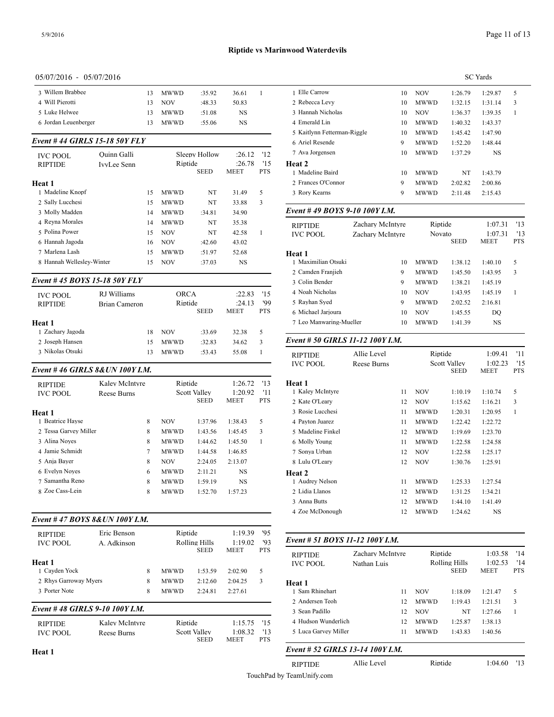| 05/07/2016 - 05/07/2016                                                                                                             |          |                     |
|-------------------------------------------------------------------------------------------------------------------------------------|----------|---------------------|
| 3 Willem Brabbee<br>1 Elle Carrow<br><b>MWWD</b><br>36.61<br>$\mathbf{1}$<br>13<br>:35.92                                           | 10       | <b>NOV</b>          |
| 4 Will Pierotti<br>2 Rebecca Levy<br><b>NOV</b><br>50.83<br>13<br>:48.33                                                            | 10       | <b>MWWD</b>         |
| 5 Luke Helwee<br>3 Hannah Nicholas<br>13<br>MWWD<br>:51.08<br>NS                                                                    | 10       | <b>NOV</b>          |
| 6 Jordan Leuenberger<br>4 Emerald Lin<br><b>MWWD</b><br>NS<br>13<br>:55.06                                                          | 10       | <b>MWWD</b>         |
| 5 Kaitlynn Fetterman-Riggle                                                                                                         | 10       | <b>MWWD</b>         |
| Event # 44 GIRLS 15-18 50Y FLY<br>6 Ariel Resende                                                                                   | 9        | <b>MWWD</b>         |
| 7 Ava Jorgensen<br>Sleepy Hollow<br>'12<br>Quinn Galli<br>:26.12<br><b>IVC POOL</b>                                                 | 10       | <b>MWWD</b>         |
| Riptide<br>:26.78<br>'15<br>Heat 2<br><b>RIPTIDE</b><br>IvyLee Senn                                                                 |          |                     |
| <b>SEED</b><br>MEET<br>PTS<br>1 Madeline Baird                                                                                      | 10       | <b>MWWD</b>         |
| 2 Frances O'Connor<br>Heat 1                                                                                                        | 9        | MWWD                |
| 1 Madeline Knopf<br>5<br>3 Rory Kearns<br><b>MWWD</b><br>NT<br>31.49<br>15                                                          | 9        | <b>MWWD</b>         |
| 2 Sally Lucchesi<br>15<br><b>MWWD</b><br>NT<br>33.88<br>3                                                                           |          |                     |
| Event # 49 BOYS 9-10 100Y I.M.<br>3 Molly Madden<br><b>MWWD</b><br>14<br>:34.81<br>34.90                                            |          |                     |
| 4 Reyna Morales<br><b>MWWD</b><br>14<br>NT<br>35.38<br>Zachary McIntyre<br><b>RIPTIDE</b>                                           |          | Ri                  |
| 5 Polina Power<br><b>NOV</b><br>15<br>NT<br>42.58<br>1<br><b>IVC POOL</b><br>Zachary McIntyre                                       |          | N <sub>0</sub>      |
| 6 Hannah Jagoda<br><b>NOV</b><br>:42.60<br>43.02<br>16                                                                              |          |                     |
| 7 Marlena Lash<br><b>MWWD</b><br>15<br>:51.97<br>52.68<br>Heat 1                                                                    |          |                     |
| 1 Maximilian Otsuki<br>8 Hannah Wellesley-Winter<br><b>NOV</b><br><b>NS</b><br>15<br>:37.03                                         | 10       | <b>MWWD</b>         |
| 2 Camden Franjieh<br>Event # 45 BOYS 15-18 50Y FLY                                                                                  | 9        | <b>MWWD</b>         |
| 3 Colin Bender                                                                                                                      | 9        | <b>MWWD</b>         |
| 4 Noah Nicholas<br><b>ORCA</b><br>RJ Williams<br>:22.83<br>'15<br><b>IVC POOL</b>                                                   | 10       | <b>NOV</b>          |
| 5 Rayhan Syed<br>'99<br>Riptide<br><b>RIPTIDE</b><br>:24.13<br><b>Brian Cameron</b><br><b>SEED</b><br><b>PTS</b><br>MEET            | 9        | <b>MWWD</b>         |
| 6 Michael Jarjoura                                                                                                                  | 10       | <b>NOV</b>          |
| 7 Leo Manwaring-Mueller<br>Heat 1<br>1 Zachary Jagoda                                                                               | 10       | <b>MWWD</b>         |
| <b>NOV</b><br>:33.69<br>5<br>18<br>32.38<br>Event # 50 GIRLS 11-12 100Y I.M.<br>2 Joseph Hansen<br>3<br><b>MWWD</b><br>:32.83<br>15 |          |                     |
| 34.62<br>3 Nikolas Otsuki<br><b>MWWD</b><br>13<br>:53.43<br>55.08<br>1                                                              |          |                     |
| Allie Level<br><b>RIPTIDE</b><br><b>IVC POOL</b><br>Reese Burns                                                                     |          | Ri<br>Sc            |
| Event #46 GIRLS 8& UN 100Y I.M.                                                                                                     |          |                     |
| Riptide<br>Kaley McIntyre<br>'13<br>Heat 1<br>1:26.72<br><b>RIPTIDE</b>                                                             |          |                     |
| 1 Kaley McIntyre<br><b>Scott Valley</b><br>'11<br>1:20.92<br><b>IVC POOL</b><br>Reese Burns<br>PTS                                  | 11       | <b>NOV</b>          |
| <b>SEED</b><br>MEET<br>2 Kate O'Leary                                                                                               | 12       | <b>NOV</b>          |
| 3 Rosie Lucchesi<br>Heat 1                                                                                                          | 11       | <b>MWWD</b>         |
| 1 Beatrice Hayse<br><b>NOV</b><br>5<br>4 Payton Juarez<br>8<br>1:37.96<br>1:38.43                                                   | 11       | <b>MWWD</b>         |
| 2 Tessa Garvey Miller<br>5 Madeline Finkel<br>8<br><b>MWWD</b><br>3<br>1:43.56<br>1:45.45                                           | 12       | <b>MWWD</b>         |
| 3 Alina Noyes<br>6 Molly Young<br>8<br><b>MWWD</b><br>1:44.62<br>1:45.50<br>1<br>4 Jamie Schmidt                                    | 11       | <b>MWWD</b>         |
| 7 Sonya Urban<br><b>MWWD</b><br>7<br>1:44.58<br>1:46.85<br>5 Anja Bayer<br>8                                                        | 12       | <b>NOV</b>          |
| <b>NOV</b><br>8 Lulu O'Leary<br>2:24.05<br>2:13.07<br>6 Evelyn Noyes                                                                | 12       | <b>NOV</b>          |
| 6<br><b>MWWD</b><br>2:11.21<br>NS<br>Heat 2<br>7 Samantha Reno<br>1:59.19<br>NS<br>MWWD                                             |          |                     |
| 8<br>1 Audrey Nelson<br>8 Zoe Cass-Lein<br>8<br>MWWD<br>2 Lidia Llanos<br>1:52.70<br>1:57.23                                        | 11       | MWWD<br><b>MWWD</b> |
| 3 Anna Butts                                                                                                                        | 12<br>12 | <b>MWWD</b>         |
| 4 Zoe McDonough                                                                                                                     | 12       | <b>MWWD</b>         |
| Event #47 BOYS 8&UN 100Y I.M.                                                                                                       |          |                     |
| Eric Benson<br>Riptide<br>1:19.39<br>'95<br><b>RIPTIDE</b>                                                                          |          |                     |
| Event # 51 BOYS 11-12 100Y I.M.<br>93<br>Rolling Hills<br>1:19.02<br><b>IVC POOL</b><br>A. Adkinson                                 |          |                     |
|                                                                                                                                     |          | Ri<br>R             |
| <b>SEED</b><br><b>MEET</b><br>PTS<br>Zachary McIntyre<br><b>RIPTIDE</b>                                                             |          |                     |
| Heat 1<br><b>IVC POOL</b><br>Nathan Luis<br>1 Cayden Yock<br><b>MWWD</b><br>5<br>8<br>1:53.59<br>2:02.90                            |          |                     |
| 2 Rhys Garroway Myers<br><b>MWWD</b><br>8<br>2:12.60<br>2:04.25<br>3                                                                |          |                     |
| Heat 1<br>3 Porter Note<br>1 Sam Rhinehart<br>8<br><b>MWWD</b><br>2:24.81<br>2:27.61                                                | 11       | <b>NOV</b>          |
| 2 Andersen Teoh                                                                                                                     | 12       | MWWD                |
| Event #48 GIRLS 9-10 100Y I.M.<br>3 Sean Padillo                                                                                    | 12       | <b>NOV</b>          |
| 4 Hudson Wunderlich<br>Riptide<br>Kaley McIntyre<br>'15<br>1:15.75<br><b>RIPTIDE</b>                                                | 12       | MWWD                |

|                                  |                    |    |             |                             | <b>SC</b> Yards        |                   |
|----------------------------------|--------------------|----|-------------|-----------------------------|------------------------|-------------------|
| 1 Elle Carrow                    |                    | 10 | <b>NOV</b>  | 1:26.79                     | 1:29.87                | 5                 |
| 2 Rebecca Levy                   |                    | 10 | <b>MWWD</b> | 1:32.15                     | 1:31.14                | 3                 |
| 3 Hannah Nicholas                |                    | 10 | <b>NOV</b>  | 1:36.37                     | 1:39.35                | 1                 |
| 4 Emerald Lin                    |                    | 10 | <b>MWWD</b> | 1:40.32                     | 1:43.37                |                   |
| 5 Kaitlynn Fetterman-Riggle      |                    | 10 | <b>MWWD</b> | 1:45.42                     | 1:47.90                |                   |
| 6 Ariel Resende                  |                    | 9  | <b>MWWD</b> | 1:52.20                     | 1:48.44                |                   |
| 7 Ava Jorgensen                  |                    | 10 | <b>MWWD</b> | 1:37.29                     | <b>NS</b>              |                   |
| <b>Heat 2</b>                    |                    |    |             |                             |                        |                   |
| 1 Madeline Baird                 |                    | 10 | <b>MWWD</b> | NT                          | 1:43.79                |                   |
| 2 Frances O'Connor               |                    | 9  | <b>MWWD</b> | 2:02.82                     | 2:00.86                |                   |
| 3 Rory Kearns                    |                    | 9  | <b>MWWD</b> | 2:11.48                     | 2:15.43                |                   |
| Event #49 BOYS 9-10 100Y I.M.    |                    |    |             |                             |                        |                   |
| <b>RIPTIDE</b>                   | Zachary McIntyre   |    | Riptide     |                             | 1:07.31                | '13               |
| <b>IVC POOL</b>                  | Zachary McIntyre   |    | Novato      | <b>SEED</b>                 | 1:07.31<br><b>MEET</b> | '13<br><b>PTS</b> |
| Heat 1                           |                    |    |             |                             |                        |                   |
| 1 Maximilian Otsuki              |                    | 10 | <b>MWWD</b> | 1:38.12                     | 1:40.10                | 5                 |
| 2 Camden Franjieh                |                    | 9  | <b>MWWD</b> | 1:45.50                     | 1:43.95                | 3                 |
| 3 Colin Bender                   |                    | 9  | <b>MWWD</b> | 1:38.21                     | 1:45.19                |                   |
| 4 Noah Nicholas                  |                    | 10 | <b>NOV</b>  | 1:43.95                     | 1:45.19                | $\mathbf{1}$      |
| 5 Rayhan Syed                    |                    | 9  | <b>MWWD</b> | 2:02.52                     | 2:16.81                |                   |
| 6 Michael Jarjoura               |                    | 10 | <b>NOV</b>  | 1:45.55                     | DO                     |                   |
| 7 Leo Manwaring-Mueller          |                    | 10 | <b>MWWD</b> | 1:41.39                     | <b>NS</b>              |                   |
| Event # 50 GIRLS 11-12 100Y I.M. |                    |    |             |                             |                        |                   |
| <b>RIPTIDE</b>                   | Allie Level        |    | Riptide     |                             | 1:09.41                | '11               |
| <b>IVC POOL</b>                  | <b>Reese Burns</b> |    |             | Scott Valley<br><b>SEED</b> | 1:02.23<br><b>MEET</b> | '15<br><b>PTS</b> |
| Heat 1                           |                    |    |             |                             |                        |                   |
| 1 Kaley McIntyre                 |                    | 11 | <b>NOV</b>  | 1:10.19                     | 1:10.74                | 5                 |

| Heat 1            |    |             |         |           |   |
|-------------------|----|-------------|---------|-----------|---|
| 1 Kalev McIntyre  | 11 | <b>NOV</b>  | 1:10.19 | 1:10.74   | 5 |
| 2 Kate O'Leary    | 12 | <b>NOV</b>  | 1:15.62 | 1:16.21   | 3 |
| 3 Rosie Lucchesi  | 11 | <b>MWWD</b> | 1:20.31 | 1:20.95   | 1 |
| 4 Payton Juarez   | 11 | <b>MWWD</b> | 1:22.42 | 1:22.72   |   |
| 5 Madeline Finkel | 12 | <b>MWWD</b> | 1:19.69 | 1:23.70   |   |
| 6 Molly Young     | 11 | <b>MWWD</b> | 1:22.58 | 1:24.58   |   |
| 7 Sonya Urban     | 12 | <b>NOV</b>  | 1:22.58 | 1:25.17   |   |
| 8 Lulu O'Leary    | 12 | <b>NOV</b>  | 1:30.76 | 1:25.91   |   |
| Heat 2            |    |             |         |           |   |
| 1 Audrey Nelson   | 11 | <b>MWWD</b> | 1:25.33 | 1:27.54   |   |
| 2 Lidia Llanos    | 12 | <b>MWWD</b> | 1:31.25 | 1:34.21   |   |
| 3 Anna Butts      | 12 | <b>MWWD</b> | 1:44.10 | 1:41.49   |   |
| 4 Zoe McDonough   | 12 | <b>MWWD</b> | 1:24.62 | <b>NS</b> |   |
|                   |    |             |         |           |   |

| <b>RIPTIDE</b><br><b>IVC POOL</b> | Zachary McIntyre<br>Nathan Luis | Riptide<br>Rolling Hills<br><b>SEED</b> |         | 1:03.58<br>1:02.53<br><b>MEET</b> | '14<br>'14<br><b>PTS</b> |
|-----------------------------------|---------------------------------|-----------------------------------------|---------|-----------------------------------|--------------------------|
| Heat 1                            |                                 |                                         |         |                                   |                          |
| 1 Sam Rhinehart                   | 11                              | <b>NOV</b>                              | 1:18.09 | 1:21.47                           | 5                        |
| 2 Andersen Teoh                   | 12                              | <b>MWWD</b>                             | 1:19.43 | 1:21.51                           | 3                        |
| 3 Sean Padillo                    | 12                              | <b>NOV</b>                              | NT      | 1:27.66                           |                          |
| 4 Hudson Wunderlich               | 12                              | <b>MWWD</b>                             | 1:25.87 | 1:38.13                           |                          |
| 5 Luca Garvey Miller              | 11                              | <b>MWWD</b>                             | 1:43.83 | 1:40.56                           |                          |
|                                   |                                 |                                         |         |                                   |                          |

# *Event # 52 GIRLS 13-14 100Y I.M.*

RIPTIDE Allie Level Riptide 1:04.60 '13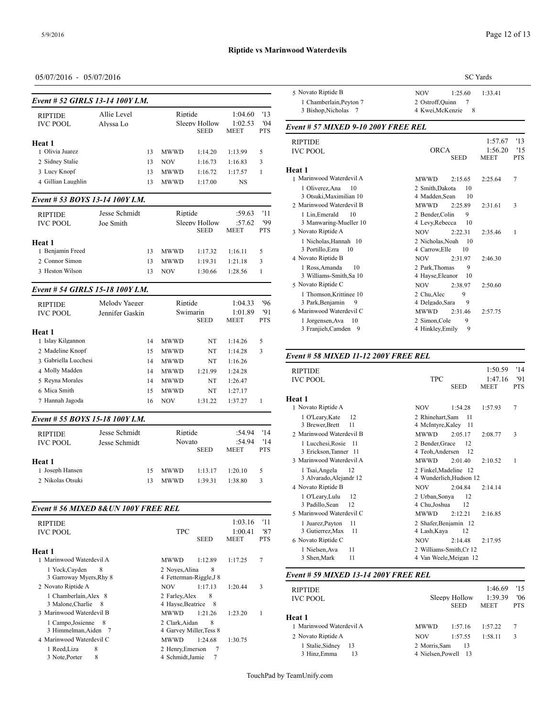# **Riptide vs Marinwood Waterdevils**

# 05/07/2016 - 05/07/2016

| <b>RIPTIDE</b>                  | Allie Level |    | Riptide     |                              | 1:04.60                | '13               | 3 Bishop, Nicho                                      |
|---------------------------------|-------------|----|-------------|------------------------------|------------------------|-------------------|------------------------------------------------------|
| <b>IVC POOL</b>                 | Alvssa Lo   |    |             | Sleepy Hollow<br><b>SEED</b> | 1:02.53<br><b>MEET</b> | 04'<br><b>PTS</b> | Event # 57 MIX                                       |
| Heat 1                          |             |    |             |                              |                        |                   | <b>RIPTIDE</b>                                       |
| 1 Olivia Juarez                 |             | 13 | <b>MWWD</b> | 1:14.20                      | 1:13.99                | 5                 | <b>IVC POOL</b>                                      |
| 2 Sidney Stalie                 |             | 13 | <b>NOV</b>  | 1:16.73                      | 1:16.83                | 3                 |                                                      |
| 3 Lucy Knopf                    |             | 13 | <b>MWWD</b> | 1:16.72                      | 1:17.57                |                   | Heat 1                                               |
| 4 Gillian Laughlin              |             | 13 | <b>MWWD</b> | 1:17.00                      | NS.                    |                   | 1 Marinwood Wat                                      |
| Event # 53 BOYS 13-14 100Y I.M. |             |    |             |                              |                        |                   | 1 Oliverez, Ana<br>3 Otsuki, Maxi<br>2 Marinwood Wat |

| <b>RIPTIDE</b><br><b>IVC POOL</b> | Jesse Schmidt<br>Joe Smith |    | Riptide<br>Sleepy Hollow | :59.63<br>:57.62<br><b>MEET</b> | - '11<br>'99<br><b>PTS</b> | 1 Lin.Emerald<br>3 Manwaring-1<br>3 Novato Riptide. |                                |
|-----------------------------------|----------------------------|----|--------------------------|---------------------------------|----------------------------|-----------------------------------------------------|--------------------------------|
| Heat 1                            |                            |    |                          |                                 |                            |                                                     | 1 Nicholas, Har                |
| 1 Benjamin Freed                  |                            | 13 | <b>MWWD</b>              | 1:17.32                         | 1:16.11                    | 5.                                                  | 3 Portillo, Ezra               |
| 2. Connor Simon                   |                            | 13 | <b>MWWD</b>              | 1:19.31                         | 1:21.18                    | 3                                                   | 4 Novato Riptide               |
| 3 Heston Wilson                   |                            | 13 | NOV                      | 1:30.66                         | 1:28.56                    |                                                     | 1 Ross, Amand<br>3 Williams-Sm |

### *Event # 54 GIRLS 15-18 100Y I.M.*

| <b>RIPTIDE</b><br><b>IVC POOL</b> | Melody Yaeger<br>Jennifer Gaskin | Riptide     | Swimarin    | 1:04.33<br>1:01.89 | '96<br>'91 | I THOURSOLLT<br>3 Park, Benjam<br>6 Marinwood Wat |  |
|-----------------------------------|----------------------------------|-------------|-------------|--------------------|------------|---------------------------------------------------|--|
| Heat 1                            |                                  |             | <b>SEED</b> | <b>MEET</b>        | <b>PTS</b> | 1 Jorgensen, Av<br>3 Franjieh, Can                |  |
| 1 Islay Kilgannon                 | 14                               | <b>MWWD</b> | NT          | 1:14.26            | 5          |                                                   |  |
| 2 Madeline Knopf                  | 15                               | <b>MWWD</b> | NT          | 1:14.28            | 3          |                                                   |  |
| 3 Gabriella Lucchesi              | 14                               | <b>MWWD</b> | NT          | 1:16.26            |            | Event # 58 MIX                                    |  |
| 4 Molly Madden                    | 14                               | <b>MWWD</b> | 1:21.99     | 1:24.28            |            | <b>RIPTIDE</b>                                    |  |
| 5 Revna Morales                   | 14                               | <b>MWWD</b> | NT          | 1:26.47            |            | <b>IVC POOL</b>                                   |  |
| 6 Mica Smith                      | 15                               | <b>MWWD</b> | NT          | 1:27.17            |            |                                                   |  |
| 7 Hannah Jagoda                   | 16                               | <b>NOV</b>  | 1:31.22     | 1:37.27            |            | Heat 1<br>1 Novato Riptide.                       |  |
| Event # 55 BOYS 15-18 100Y I.M.   |                                  |             |             |                    |            | 1 O'Leary, Kate                                   |  |

| <b>RIPTIDE</b><br><b>IVC POOL</b> | Jesse Schmidt<br>Jesse Schmidt |    | Riptide<br>Novato<br><b>SEED</b> |         | :54.94<br>:54.94<br><b>MEET</b> | - '14<br>'14<br><b>PTS</b> | 3 Diewei.Dieu<br>2 Marinwood Wat<br>1 Lucchesi, Ros<br>3 Erickson, Tan |
|-----------------------------------|--------------------------------|----|----------------------------------|---------|---------------------------------|----------------------------|------------------------------------------------------------------------|
| Heat 1                            |                                |    |                                  |         |                                 |                            | 3 Marinwood Wat                                                        |
| 1 Joseph Hansen                   |                                | 15 | <b>MWWD</b>                      | 1:13.17 | 1:20.10                         | 5.                         | 1 Tsai, Angela                                                         |
| 2 Nikolas Otsuki                  |                                | 13 | <b>MWWD</b>                      | 1:39.31 | 1:38.80                         | 3                          | 3 Alvarado, Ale                                                        |

#### *Event # 56 MIXED 8&UN 100Y FREE REL*

| <b>RIPTIDE</b><br><b>IVC POOL</b>                                                                      | <b>TPC</b><br><b>SEED</b><br>MEET                                                                                       | 1:03.16<br>'11<br>1:00.41<br>'87<br><b>PTS</b> | 1 Juarez, Paytor<br>3 Gutierrez, Ma<br>6 Novato Riptide |
|--------------------------------------------------------------------------------------------------------|-------------------------------------------------------------------------------------------------------------------------|------------------------------------------------|---------------------------------------------------------|
| Heat 1<br>1 Marinwood Waterdevil A                                                                     | <b>MWWD</b><br>1:12.89<br>1:17.25                                                                                       | 7                                              | 1 Nielsen. Ava<br>3 Shen, Mark                          |
| 1 Yock, Cayden<br>8<br>3 Garroway Myers, Rhy 8                                                         | 2 Noves.Alina<br>8<br>4 Fetterman-Riggle, J 8                                                                           |                                                | Event # 59 $MIX$                                        |
| 2 Novato Riptide A<br>1 Chamberlain, Alex 8<br>3 Malone, Charlie<br>- 8                                | 1:17.13<br><b>NOV</b><br>1:20.44<br>2 Farley, Alex<br>8<br>4 Hayse, Beatrice 8                                          | 3                                              | <b>RIPTIDE</b><br><b>IVC POOL</b>                       |
| 3 Marinwood Waterdevil B<br>1 Campo, Josienne<br>8<br>3 Himmelman, Aiden 7<br>4 Marinwood Waterdevil C | <b>MWWD</b><br>1:21.26<br>1:23.20<br>8<br>2 Clark.Aidan<br>4 Garvey Miller, Tess 8<br><b>MWWD</b><br>1:24.68<br>1:30.75 | 1                                              | Heat 1<br>1 Marinwood Wat<br>2 Novato Riptide.          |
| 8<br>1 Reed, Liza<br>8<br>3 Note, Porter                                                               | 2 Henry, Emerson<br>7<br>4 Schmidt, Jamie                                                                               |                                                | 1 Stalie, Sidney<br>3 Hinz, Emma                        |

|                                     | <b>SC</b> Yards                                                          |  |  |  |
|-------------------------------------|--------------------------------------------------------------------------|--|--|--|
| 5 Novato Riptide B                  | <b>NOV</b><br>1:25.60<br>1:33.41                                         |  |  |  |
| 1 Chamberlain, Peyton 7             | 2 Ostroff, Quinn<br>7                                                    |  |  |  |
| 3 Bishop, Nicholas 7                | 4 Kwei, McKenzie<br>8                                                    |  |  |  |
| Event # 57 MIXED 9-10 200Y FREE REL |                                                                          |  |  |  |
| <b>RIPTIDE</b>                      | 1:57.67<br>'13                                                           |  |  |  |
| <b>IVC POOL</b>                     | <b>ORCA</b><br>1:56.20<br>15<br><b>SEED</b><br><b>MEET</b><br><b>PTS</b> |  |  |  |
| Heat 1                              |                                                                          |  |  |  |
| 1 Marinwood Waterdevil A            | 2:15.65<br>7<br><b>MWWD</b><br>2:25.64                                   |  |  |  |
| 10<br>1 Oliverez, Ana               | 2 Smith, Dakota<br>10                                                    |  |  |  |
| 3 Otsuki, Maximilian 10             | 4 Madden, Sean<br>10                                                     |  |  |  |
| 2 Marinwood Waterdevil B            | <b>MWWD</b><br>2:25.89<br>2:31.61<br>3                                   |  |  |  |
| 10<br>1 Lin, Emerald                | 9<br>2 Bender, Colin                                                     |  |  |  |
| 3 Manwaring-Mueller 10              | 4 Levy, Rebecca<br>10                                                    |  |  |  |
| 3 Novato Riptide A                  | <b>NOV</b><br>2:22.31<br>2:35.46<br>1                                    |  |  |  |
| 1 Nicholas, Hannah 10               | 2 Nicholas, Noah<br>$\overline{10}$                                      |  |  |  |
| 3 Portillo, Ezra<br>-10             | 4 Carrow.Elle<br>10                                                      |  |  |  |
| 4 Novato Riptide B                  | <b>NOV</b><br>2:31.97<br>2:46.30                                         |  |  |  |
| 10<br>1 Ross, Amanda                | 2 Park, Thomas<br>9                                                      |  |  |  |
| 3 Williams-Smith, Sa 10             | 4 Hayse, Eleanor<br>10                                                   |  |  |  |
| 5 Novato Riptide C                  | <b>NOV</b><br>2:38.97<br>2:50.60                                         |  |  |  |
| 1 Thomson, Krittinee 10             | 9<br>2 Chu.Alec                                                          |  |  |  |
| 3 Park, Benjamin<br>9               | 9<br>4 Delgado, Sara                                                     |  |  |  |
| 6 Marinwood Waterdevil C            | <b>MWWD</b><br>2:31.46<br>2:57.75                                        |  |  |  |
| 1 Jorgensen, Ava<br>10              | 9<br>2 Simon, Cole                                                       |  |  |  |
| 3 Franjieh, Camden<br>9             | 9<br>4 Hinkley, Emily                                                    |  |  |  |

# *Event # 58 MIXED 11-12 200Y FREE REL*

| <b>RIPTIDE</b><br><b>TPC</b><br><b>IVC POOL</b><br><b>SEED</b><br><b>MEET</b>                   | 1:50.59<br>'14<br>1:47.16<br>'91<br><b>PTS</b> |  |  |  |
|-------------------------------------------------------------------------------------------------|------------------------------------------------|--|--|--|
| Heat 1                                                                                          |                                                |  |  |  |
| 1 Novato Riptide A<br><b>NOV</b><br>1:54.28<br>1:57.93                                          | 7                                              |  |  |  |
| 1 O'Leary, Kate<br>2 Rhinehart, Sam<br>12<br>11                                                 |                                                |  |  |  |
| 11<br>3 Brewer, Brett<br>4 McIntyre, Kaley<br>- 11                                              |                                                |  |  |  |
| 2 Marinwood Waterdevil B<br><b>MWWD</b><br>2:05.17<br>2:08.77                                   | 3                                              |  |  |  |
| 1 Lucchesi, Rosie<br>2 Bender, Grace<br>12<br>-11                                               |                                                |  |  |  |
| 3 Erickson, Tanner 11<br>4 Teoh, Andersen<br>- 12                                               |                                                |  |  |  |
| 3 Marinwood Waterdevil A<br><b>MWWD</b><br>2:01.40<br>2:10.52                                   | 1                                              |  |  |  |
| 12<br>2 Finkel, Madeline 12<br>1 Tsai, Angela                                                   |                                                |  |  |  |
| 3 Alvarado, Alejandr 12<br>4 Wunderlich, Hudson 12                                              |                                                |  |  |  |
| 4 Novato Riptide B<br><b>NOV</b><br>2:04.84<br>2:14.14                                          |                                                |  |  |  |
| 12<br>2 Urban, Sonya<br>12<br>1 O'Leary, Lulu<br>12<br>12<br>3 Padillo, Sean<br>4 Chu, Joshua   |                                                |  |  |  |
| 5 Marinwood Waterdevil C<br><b>MWWD</b><br>2:12.21<br>2:16.85                                   |                                                |  |  |  |
| 2 Shafer, Benjamin 12<br>1 Juarez, Payton<br>11<br>3 Gutierrez, Max<br>11<br>4 Lash, Kaya<br>12 |                                                |  |  |  |
| 6 Novato Riptide C<br><b>NOV</b><br>2:14.48<br>2:17.95                                          |                                                |  |  |  |
| 2 Williams-Smith, Cr 12<br>1 Nielsen, Ava<br>11<br>11<br>3 Shen, Mark<br>4 Van Weele, Meigan 12 |                                                |  |  |  |

#### *Event # 59 MIXED 13-14 200Y FREE REL*

| <b>RIPTIDE</b>           |                      |             | 1:46.69     | '15        |
|--------------------------|----------------------|-------------|-------------|------------|
| <b>IVC POOL</b>          | Sleepy Hollow        |             | 1:39.39     | '06        |
|                          |                      | <b>SEED</b> | <b>MEET</b> | <b>PTS</b> |
| Heat 1                   |                      |             |             |            |
| 1 Marinwood Waterdevil A | <b>MWWD</b>          | 1:57.16     | 1:57.22     | 7          |
| 2 Novato Riptide A       | <b>NOV</b>           | 1:57.55     | 1:58.11     | 3          |
| 1 Stalie, Sidney<br>13   | 2 Morris.Sam         | 13          |             |            |
| 3 Hinz, Emma<br>13       | 4 Nielsen, Powell 13 |             |             |            |
|                          |                      |             |             |            |